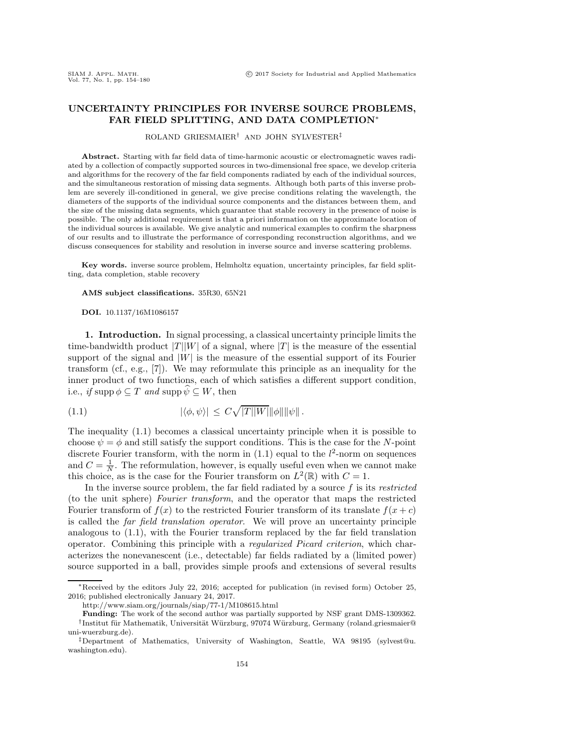## <span id="page-0-1"></span>**UNCERTAINTY PRINCIPLES FOR INVERSE SOURCE PROBLEMS, FAR FIELD SPLITTING, AND DATA COMPLETION**∗

ROLAND GRIESMAIER† AND JOHN SYLVESTER‡

**Abstract.** Starting with far field data of time-harmonic acoustic or electromagnetic waves radiated by a collection of compactly supported sources in two-dimensional free space, we develop criteria and algorithms for the recovery of the far field components radiated by each of the individual sources, and the simultaneous restoration of missing data segments. Although both parts of this inverse problem are severely ill-conditioned in general, we give precise conditions relating the wavelength, the diameters of the supports of the individual source components and the distances between them, and the size of the missing data segments, which guarantee that stable recovery in the presence of noise is possible. The only additional requirement is that a priori information on the approximate location of the individual sources is available. We give analytic and numerical examples to confirm the sharpness of our results and to illustrate the performance of corresponding reconstruction algorithms, and we discuss consequences for stability and resolution in inverse source and inverse scattering problems.

**Key words.** inverse source problem, Helmholtz equation, uncertainty principles, far field splitting, data completion, stable recovery

## **AMS subject classifications.** 35R30, 65N21

**DOI.** 10.1137/16M1086157

**1. Introduction.** In signal processing, a classical uncertainty principle limits the time-bandwidth product  $|T||W|$  of a signal, where  $|T|$  is the measure of the essential support of the signal and  $|W|$  is the measure of the essential support of its Fourier transform (cf., e.g., [\[7\]](#page-26-0)). We may reformulate this principle as an inequality for the inner product of two functions, each of which satisfies a different support condition, i.e., *if* supp  $\phi \subseteq T$  *and* supp  $\psi \subseteq W$ , then

<span id="page-0-0"></span>
$$
|\langle \phi, \psi \rangle| \leq C \sqrt{|T||W|} \|\phi\| \|\psi\|.
$$

The inequality [\(1.1\)](#page-0-0) becomes a classical uncertainty principle when it is possible to choose  $\psi = \phi$  and still satisfy the support conditions. This is the case for the N-point discrete Fourier transform, with the norm in  $(1.1)$  equal to the  $l^2$ -norm on sequences and  $C = \frac{1}{N}$ . The reformulation, however, is equally useful even when we cannot make this choice, as is the case for the Fourier transform on  $L^2(\mathbb{R})$  with  $C = 1$ .

In the inverse source problem, the far field radiated by a source f is its *restricted* (to the unit sphere) *Fourier transform*, and the operator that maps the restricted Fourier transform of  $f(x)$  to the restricted Fourier transform of its translate  $f(x+c)$ is called the *far field translation operator*. We will prove an uncertainty principle analogous to [\(1.1\)](#page-0-0), with the Fourier transform replaced by the far field translation operator. Combining this principle with a *regularized Picard criterion*, which characterizes the nonevanescent (i.e., detectable) far fields radiated by a (limited power) source supported in a ball, provides simple proofs and extensions of several results

<sup>∗</sup>Received by the editors July 22, 2016; accepted for publication (in revised form) October 25, 2016; published electronically January 24, 2017.

<http://www.siam.org/journals/siap/77-1/M108615.html>

**Funding:** The work of the second author was partially supported by NSF grant DMS-1309362. †Institut für Mathematik, Universität Würzburg, 97074 Würzburg, Germany (roland.griesmaier@ uni-wuerzburg.de).

<sup>‡</sup>[Department of Mathematics, University of Washington, Seattle, WA 98195 \(sylvest@u.](mailto:sylvest@u.washington.edu) washington.edu).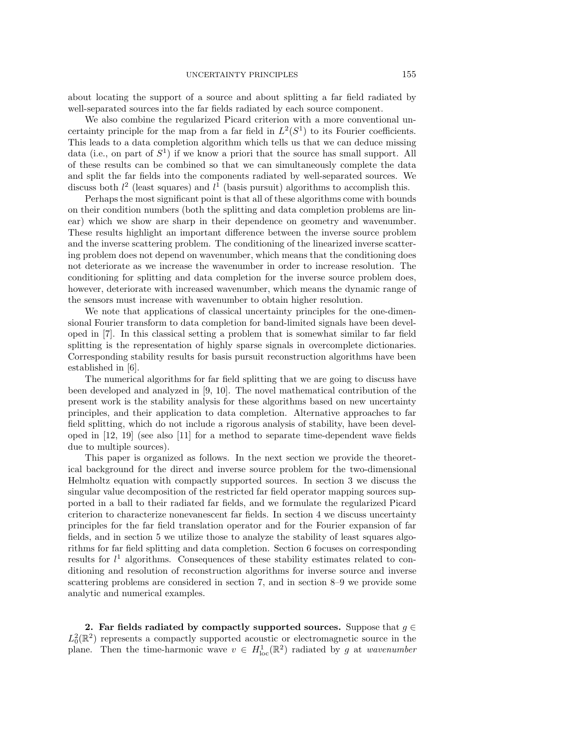about locating the support of a source and about splitting a far field radiated by well-separated sources into the far fields radiated by each source component.

We also combine the regularized Picard criterion with a more conventional uncertainty principle for the map from a far field in  $L^2(S^1)$  to its Fourier coefficients. This leads to a data completion algorithm which tells us that we can deduce missing data (i.e., on part of  $S<sup>1</sup>$ ) if we know a priori that the source has small support. All of these results can be combined so that we can simultaneously complete the data and split the far fields into the components radiated by well-separated sources. We discuss both  $l^2$  (least squares) and  $l^1$  (basis pursuit) algorithms to accomplish this.

Perhaps the most significant point is that all of these algorithms come with bounds on their condition numbers (both the splitting and data completion problems are linear) which we show are sharp in their dependence on geometry and wavenumber. These results highlight an important difference between the inverse source problem and the inverse scattering problem. The conditioning of the linearized inverse scattering problem does not depend on wavenumber, which means that the conditioning does not deteriorate as we increase the wavenumber in order to increase resolution. The conditioning for splitting and data completion for the inverse source problem does, however, deteriorate with increased wavenumber, which means the dynamic range of the sensors must increase with wavenumber to obtain higher resolution.

We note that applications of classical uncertainty principles for the one-dimensional Fourier transform to data completion for band-limited signals have been developed in [\[7\]](#page-26-0). In this classical setting a problem that is somewhat similar to far field splitting is the representation of highly sparse signals in overcomplete dictionaries. Corresponding stability results for basis pursuit reconstruction algorithms have been established in [\[6\]](#page-26-1).

The numerical algorithms for far field splitting that we are going to discuss have been developed and analyzed in [\[9,](#page-26-2) [10\]](#page-26-3). The novel mathematical contribution of the present work is the stability analysis for these algorithms based on new uncertainty principles, and their application to data completion. Alternative approaches to far field splitting, which do not include a rigorous analysis of stability, have been developed in [\[12,](#page-26-4) [19\]](#page-26-5) (see also [\[11\]](#page-26-6) for a method to separate time-dependent wave fields due to multiple sources).

This paper is organized as follows. In the next section we provide the theoretical background for the direct and inverse source problem for the two-dimensional Helmholtz equation with compactly supported sources. In section [3](#page-3-0) we discuss the singular value decomposition of the restricted far field operator mapping sources supported in a ball to their radiated far fields, and we formulate the regularized Picard criterion to characterize nonevanescent far fields. In section [4](#page-6-0) we discuss uncertainty principles for the far field translation operator and for the Fourier expansion of far fields, and in section [5](#page-9-0) we utilize those to analyze the stability of least squares algorithms for far field splitting and data completion. Section [6](#page-13-0) focuses on corresponding results for  $l<sup>1</sup>$  algorithms. Consequences of these stability estimates related to conditioning and resolution of reconstruction algorithms for inverse source and inverse scattering problems are considered in section [7,](#page-19-0) and in section [8](#page-21-0)[–9](#page-22-0) we provide some analytic and numerical examples.

**2. Far fields radiated by compactly supported sources.** Suppose that  $g \in \mathbb{R}$  $L_0^2(\mathbb{R}^2)$  represents a compactly supported acoustic or electromagnetic source in the plane. Then the time-harmonic wave  $v \in H^1_{loc}(\mathbb{R}^2)$  radiated by g at *wavenumber*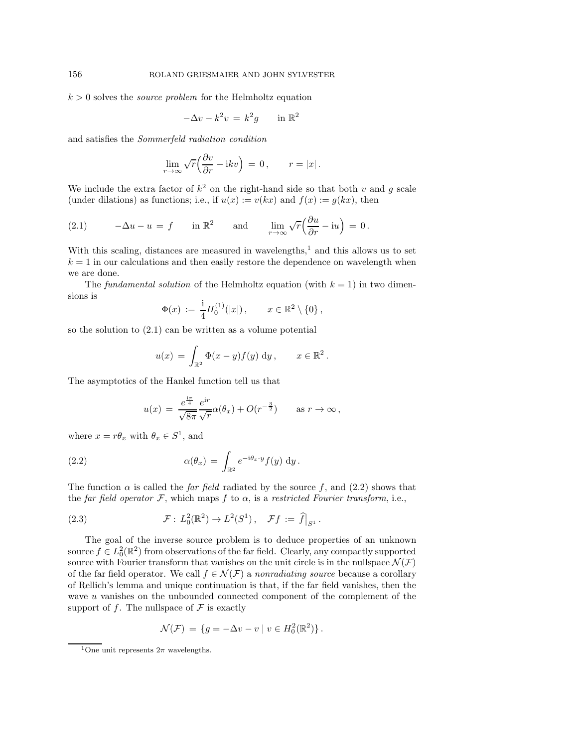$k > 0$  solves the *source problem* for the Helmholtz equation

$$
-\Delta v - k^2 v = k^2 g \qquad \text{in } \mathbb{R}^2
$$

and satisfies the *Sommerfeld radiation condition*

$$
\lim_{r \to \infty} \sqrt{r} \left( \frac{\partial v}{\partial r} - \mathrm{i} k v \right) \, = \, 0 \,, \qquad r = |x| \,.
$$

We include the extra factor of  $k^2$  on the right-hand side so that both v and q scale (under dilations) as functions; i.e., if  $u(x) := v(kx)$  and  $f(x) := g(kx)$ , then

<span id="page-2-1"></span>(2.1) 
$$
-\Delta u - u = f \quad \text{in } \mathbb{R}^2 \quad \text{and} \quad \lim_{r \to \infty} \sqrt{r} \Big( \frac{\partial u}{\partial r} - i u \Big) = 0.
$$

With this scaling, distances are measured in wavelengths, $<sup>1</sup>$  $<sup>1</sup>$  $<sup>1</sup>$  and this allows us to set</sup>  $k = 1$  in our calculations and then easily restore the dependence on wavelength when we are done.

The *fundamental solution* of the Helmholtz equation (with  $k = 1$ ) in two dimensions is

$$
\Phi(x) := \frac{1}{4} H_0^{(1)}(|x|) , \qquad x \in \mathbb{R}^2 \setminus \{0\} ,
$$

so the solution to [\(2.1\)](#page-2-1) can be written as a volume potential

$$
u(x) = \int_{\mathbb{R}^2} \Phi(x - y) f(y) \, \mathrm{d}y, \qquad x \in \mathbb{R}^2.
$$

The asymptotics of the Hankel function tell us that

<span id="page-2-2"></span>
$$
u(x) = \frac{e^{\frac{i\pi}{4}}}{\sqrt{8\pi}} \frac{e^{ir}}{\sqrt{r}} \alpha(\theta_x) + O(r^{-\frac{3}{2}}) \quad \text{as } r \to \infty,
$$

where  $x = r\theta_x$  with  $\theta_x \in S^1$ , and

(2.2) 
$$
\alpha(\theta_x) = \int_{\mathbb{R}^2} e^{-i\theta_x \cdot y} f(y) \, \mathrm{d}y.
$$

The function  $\alpha$  is called the *far field* radiated by the source f, and [\(2.2\)](#page-2-2) shows that the *far field operator*  $\mathcal{F}$ , which maps  $f$  to  $\alpha$ , is a *restricted Fourier transform*, i.e.,

<span id="page-2-3"></span>(2.3) 
$$
\mathcal{F}: L_0^2(\mathbb{R}^2) \to L^2(S^1), \quad \mathcal{F}f := \hat{f}|_{S^1}.
$$

The goal of the inverse source problem is to deduce properties of an unknown source  $f \in L_0^2(\mathbb{R}^2)$  from observations of the far field. Clearly, any compactly supported source with Fourier transform that vanishes on the unit circle is in the nullspace  $\mathcal{N}(\mathcal{F})$ of the far field operator. We call  $f \in \mathcal{N}(\mathcal{F})$  a *nonradiating source* because a corollary of Rellich's lemma and unique continuation is that, if the far field vanishes, then the wave u vanishes on the unbounded connected component of the complement of the support of f. The nullspace of  $\mathcal F$  is exactly

$$
\mathcal{N}(\mathcal{F}) = \{ g = -\Delta v - v \mid v \in H_0^2(\mathbb{R}^2) \}.
$$

<span id="page-2-0"></span><sup>&</sup>lt;sup>1</sup>One unit represents  $2\pi$  wavelengths.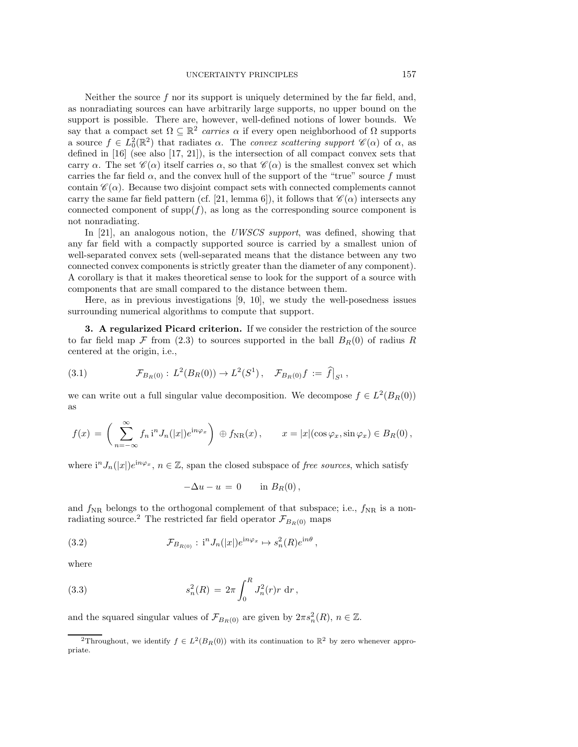Neither the source  $f$  nor its support is uniquely determined by the far field, and, as nonradiating sources can have arbitrarily large supports, no upper bound on the support is possible. There are, however, well-defined notions of lower bounds. We say that a compact set  $\Omega \subseteq \mathbb{R}^2$  *carries*  $\alpha$  if every open neighborhood of  $\Omega$  supports a source  $f \in L_0^2(\mathbb{R}^2)$  that radiates  $\alpha$ . The *convex scattering support*  $\mathscr{C}(\alpha)$  of  $\alpha$ , as defined in [\[16\]](#page-26-7) (see also [\[17,](#page-26-8) [21\]](#page-26-9)), is the intersection of all compact convex sets that carry  $\alpha$ . The set  $\mathscr{C}(\alpha)$  itself carries  $\alpha$ , so that  $\mathscr{C}(\alpha)$  is the smallest convex set which carries the far field  $\alpha$ , and the convex hull of the support of the "true" source f must contain  $\mathscr{C}(\alpha)$ . Because two disjoint compact sets with connected complements cannot carry the same far field pattern (cf. [\[21,](#page-26-9) lemma 6]), it follows that  $\mathscr{C}(\alpha)$  intersects any connected component of  $\text{supp}(f)$ , as long as the corresponding source component is not nonradiating.

In [\[21\]](#page-26-9), an analogous notion, the *UWSCS support*, was defined, showing that any far field with a compactly supported source is carried by a smallest union of well-separated convex sets (well-separated means that the distance between any two connected convex components is strictly greater than the diameter of any component). A corollary is that it makes theoretical sense to look for the support of a source with components that are small compared to the distance between them.

Here, as in previous investigations [\[9,](#page-26-2) [10\]](#page-26-3), we study the well-posedness issues surrounding numerical algorithms to compute that support.

<span id="page-3-0"></span>**3. A regularized Picard criterion.** If we consider the restriction of the source to far field map  $\mathcal F$  from [\(2.3\)](#page-2-3) to sources supported in the ball  $B_R(0)$  of radius R centered at the origin, i.e.,

(3.1) 
$$
\mathcal{F}_{B_R(0)}: L^2(B_R(0)) \to L^2(S^1), \quad \mathcal{F}_{B_R(0)}f := \hat{f}|_{S^1},
$$

we can write out a full singular value decomposition. We decompose  $f \in L^2(B_R(0))$ as

$$
f(x) = \left(\sum_{n=-\infty}^{\infty} f_n i^n J_n(|x|) e^{i n \varphi_x} \right) \oplus f_{\rm NR}(x), \qquad x = |x| (\cos \varphi_x, \sin \varphi_x) \in B_R(0),
$$

where  $i^{n}J_{n}(|x|)e^{in\varphi_{x}}, n \in \mathbb{Z}$ , span the closed subspace of *free sources*, which satisfy

<span id="page-3-2"></span>
$$
-\Delta u - u = 0 \quad \text{in } B_R(0),
$$

and  $f_{\rm NR}$  belongs to the orthogonal complement of that subspace; i.e.,  $f_{\rm NR}$  is a non-radiating source.<sup>[2](#page-3-1)</sup> The restricted far field operator  $\mathcal{F}_{B_R(0)}$  maps

(3.2) 
$$
\mathcal{F}_{B_{R(0)}}: \; i^{n} J_{n}(|x|) e^{in\varphi_{x}} \mapsto s_{n}^{2}(R) e^{in\theta},
$$

where

(3.3) 
$$
s_n^2(R) = 2\pi \int_0^R J_n^2(r)r \, dr,
$$

and the squared singular values of  $\mathcal{F}_{B_R(0)}$  are given by  $2\pi s_n^2(R)$ ,  $n \in \mathbb{Z}$ .

<span id="page-3-1"></span><sup>&</sup>lt;sup>2</sup>Throughout, we identify  $f \in L^2(B_R(0))$  with its continuation to  $\mathbb{R}^2$  by zero whenever appropriate.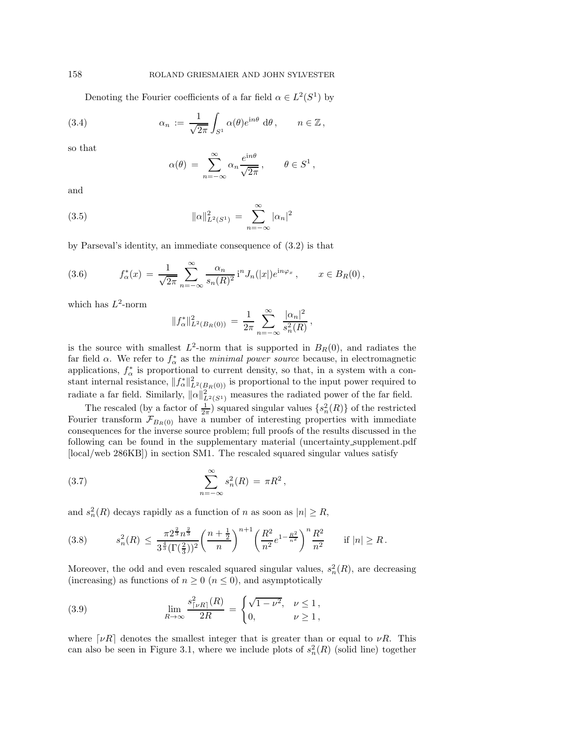Denoting the Fourier coefficients of a far field  $\alpha \in L^2(S^1)$  by

(3.4) 
$$
\alpha_n := \frac{1}{\sqrt{2\pi}} \int_{S^1} \alpha(\theta) e^{in\theta} d\theta, \qquad n \in \mathbb{Z},
$$

so that

<span id="page-4-4"></span><span id="page-4-2"></span>
$$
\alpha(\theta) = \sum_{n=-\infty}^{\infty} \alpha_n \frac{e^{in\theta}}{\sqrt{2\pi}}, \qquad \theta \in S^1,
$$

and

(3.5) 
$$
\|\alpha\|_{L^2(S^1)}^2 = \sum_{n=-\infty}^{\infty} |\alpha_n|^2
$$

by Parseval's identity, an immediate consequence of [\(3.2\)](#page-3-2) is that

<span id="page-4-3"></span>(3.6) 
$$
f_{\alpha}^{*}(x) = \frac{1}{\sqrt{2\pi}} \sum_{n=-\infty}^{\infty} \frac{\alpha_{n}}{s_{n}(R)^{2}} i^{n} J_{n}(|x|) e^{i n \varphi_{x}}, \qquad x \in B_{R}(0),
$$

which has  $L^2$ -norm

$$
||f_{\alpha}^*||_{L^2(B_R(0))}^2 = \frac{1}{2\pi} \sum_{n=-\infty}^{\infty} \frac{|\alpha_n|^2}{s_n^2(R)},
$$

is the source with smallest  $L^2$ -norm that is supported in  $B_R(0)$ , and radiates the far field  $\alpha$ . We refer to  $f^*_{\alpha}$  as the *minimal power source* because, in electromagnetic applications,  $f^*_{\alpha}$  is proportional to current density, so that, in a system with a constant internal resistance,  $||f^*_{\alpha}||^2_{L^2(B_R(0))}$  is proportional to the input power required to radiate a far field. Similarly,  $\|\alpha\|_{L^2(S^1)}^2$  measures the radiated power of the far field.

The rescaled (by a factor of  $\frac{1}{2\pi}$ ) squared singular values  $\{s_n^2(R)\}\$  of the restricted Fourier transform  $\mathcal{F}_{B_R(0)}$  have a number of interesting properties with immediate consequences for the inverse source problem; full proofs of the results discussed in the following can be found in the supplementary material (uncertainty supplement.pdf [\[local](#page-0-1)[/web](http://epubs.siam.org/doi/suppl/10.1137/16M1086157/suppl_file/uncertainty_supplement.pdf) 286KB]) in section SM1. The rescaled squared singular values satisfy

<span id="page-4-1"></span>(3.7) 
$$
\sum_{n=-\infty}^{\infty} s_n^2(R) = \pi R^2,
$$

and  $s_n^2(R)$  decays rapidly as a function of n as soon as  $|n| \ge R$ ,

$$
(3.8) \t s_n^2(R) \le \frac{\pi 2^{\frac{2}{3}} n^{\frac{2}{3}}}{3^{\frac{4}{3}} (\Gamma(\frac{2}{3}))^2} \left(\frac{n+\frac{1}{2}}{n}\right)^{n+1} \left(\frac{R^2}{n^2} e^{1-\frac{R^2}{n^2}}\right)^n \frac{R^2}{n^2} \t \text{if } |n| \ge R.
$$

Moreover, the odd and even rescaled squared singular values,  $s_n^2(R)$ , are decreasing (increasing) as functions of  $n \geq 0$  ( $n \leq 0$ ), and asymptotically

<span id="page-4-0"></span>(3.9) 
$$
\lim_{R \to \infty} \frac{s_{\lceil \nu R \rceil}^2(R)}{2R} = \begin{cases} \sqrt{1 - \nu^2}, & \nu \le 1, \\ 0, & \nu \ge 1, \end{cases}
$$

where  $[\nu R]$  denotes the smallest integer that is greater than or equal to  $\nu R$ . This can also be seen in Figure [3.1,](#page-5-0) where we include plots of  $s_n^2(R)$  (solid line) together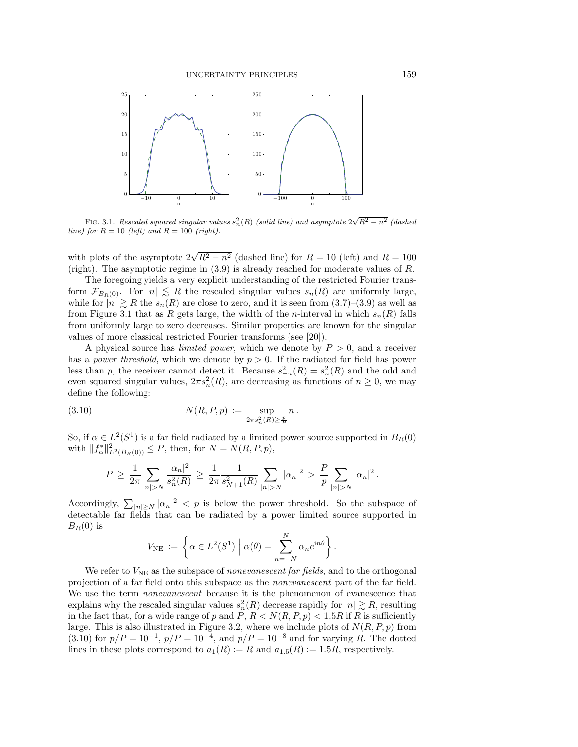<span id="page-5-0"></span>

FIG. 3.1. Rescaled squared singular values  $s_n^2(R)$  (solid line) and asymptote  $2\sqrt{R^2-n^2}$  (dashed line) for  $R = 10$  (left) and  $R = 100$  (right).

with plots of the asymptote  $2\sqrt{R^2 - n^2}$  (dashed line) for  $R = 10$  (left) and  $R = 100$ (right). The asymptotic regime in [\(3.9\)](#page-4-0) is already reached for moderate values of R.

The foregoing yields a very explicit understanding of the restricted Fourier transform  $\mathcal{F}_{B_R(0)}$ . For  $|n| \le R$  the rescaled singular values  $s_n(R)$  are uniformly large, while for  $|n| \ge R$  the  $s_n(R)$  are close to zero, and it is seen from  $(3.7)-(3.9)$  $(3.7)-(3.9)$  $(3.7)-(3.9)$  as well as from Figure [3.1](#page-5-0) that as R gets large, the width of the n-interval in which  $s_n(R)$  falls from uniformly large to zero decreases. Similar properties are known for the singular values of more classical restricted Fourier transforms (see [\[20\]](#page-26-10)).

A physical source has *limited power*, which we denote by P > 0, and a receiver has a *power threshold*, which we denote by  $p > 0$ . If the radiated far field has power less than p, the receiver cannot detect it. Because  $s_{-n}^2(R) = s_n^2(R)$  and the odd and even squared singular values,  $2\pi s_n^2(R)$ , are decreasing as functions of  $n \geq 0$ , we may define the following:

(3.10) 
$$
N(R, P, p) := \sup_{2\pi s_n^2(R) \ge \frac{p}{P}} n.
$$

So, if  $\alpha \in L^2(S^1)$  is a far field radiated by a limited power source supported in  $B_R(0)$ with  $||f^*_{\alpha}||^2_{L^2(B_R(0))} \leq P$ , then, for  $N = N(R, P, p)$ ,

<span id="page-5-1"></span>
$$
P \geq \frac{1}{2\pi} \sum_{|n|>N} \frac{|\alpha_n|^2}{s_n^2(R)} \geq \frac{1}{2\pi} \frac{1}{s_{N+1}^2(R)} \sum_{|n|>N} |\alpha_n|^2 > \frac{P}{p} \sum_{|n|>N} |\alpha_n|^2.
$$

Accordingly,  $\sum_{|n|\geq N} |\alpha_n|^2 < p$  is below the power threshold. So the subspace of detectable far fields that can be radiated by a power limited source supported in  $B_R(0)$  is

$$
V_{\text{NE}} := \left\{ \alpha \in L^{2}(S^{1}) \mid \alpha(\theta) = \sum_{n=-N}^{N} \alpha_{n} e^{in\theta} \right\}.
$$

We refer to  $V_{\text{NE}}$  as the subspace of *nonevanescent far fields*, and to the orthogonal projection of a far field onto this subspace as the *nonevanescent* part of the far field. We use the term *nonevanescent* because it is the phenomenon of evanescence that explains why the rescaled singular values  $s_n^2(R)$  decrease rapidly for  $|n| \gtrsim R$ , resulting in the fact that, for a wide range of p and P,  $R < N(R, P, p) < 1.5R$  if R is sufficiently large. This is also illustrated in Figure [3.2,](#page-6-1) where we include plots of  $N(R, P, p)$  from [\(3.10\)](#page-5-1) for  $p/P = 10^{-1}$ ,  $p/P = 10^{-4}$ , and  $p/P = 10^{-8}$  and for varying R. The dotted lines in these plots correspond to  $a_1(R) := R$  and  $a_1 |_5(R) := 1.5R$ , respectively.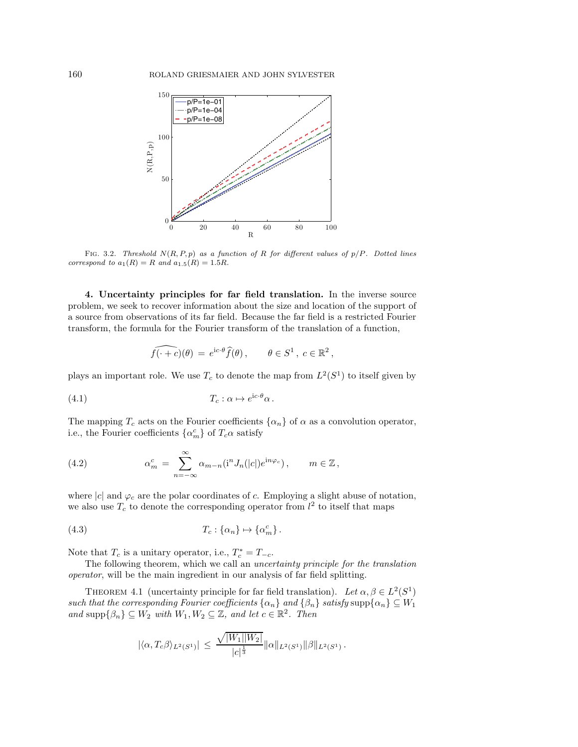<span id="page-6-1"></span>

FIG. 3.2. Threshold  $N(R, P, p)$  as a function of R for different values of  $p/P$ . Dotted lines correspond to  $a_1(R) = R$  and  $a_{1.5}(R) = 1.5R$ .

<span id="page-6-0"></span>**4. Uncertainty principles for far field translation.** In the inverse source problem, we seek to recover information about the size and location of the support of a source from observations of its far field. Because the far field is a restricted Fourier transform, the formula for the Fourier transform of the translation of a function,

<span id="page-6-3"></span>
$$
\widehat{f(\cdot + c)}(\theta) = e^{ic \cdot \theta} \widehat{f}(\theta), \qquad \theta \in S^1, \ c \in \mathbb{R}^2,
$$

plays an important role. We use  $T_c$  to denote the map from  $L^2(S^1)$  to itself given by

(4.1) 
$$
T_c: \alpha \mapsto e^{ic \cdot \theta} \alpha.
$$

The mapping  $T_c$  acts on the Fourier coefficients  $\{\alpha_n\}$  of  $\alpha$  as a convolution operator, i.e., the Fourier coefficients  $\{\alpha_m^c\}$  of  $T_c\alpha$  satisfy

<span id="page-6-5"></span>(4.2) 
$$
\alpha_m^c = \sum_{n=-\infty}^{\infty} \alpha_{m-n}(\mathbf{i}^n J_n(|c|) e^{\mathbf{i}n\varphi_c}), \qquad m \in \mathbb{Z},
$$

where  $|c|$  and  $\varphi_c$  are the polar coordinates of c. Employing a slight abuse of notation, we also use  $T_c$  to denote the corresponding operator from  $l^2$  to itself that maps

(4.3) 
$$
T_c: \{\alpha_n\} \mapsto \{\alpha_m^c\}.
$$

Note that  $T_c$  is a unitary operator, i.e.,  $T_c^* = T_{-c}$ .

<span id="page-6-2"></span>The following theorem, which we call an *uncertainty principle for the translation operator*, will be the main ingredient in our analysis of far field splitting.

THEOREM 4.1 (uncertainty principle for far field translation). Let  $\alpha, \beta \in L^2(S^1)$ *such that the corresponding Fourier coefficients*  $\{\alpha_n\}$  *and*  $\{\beta_n\}$  *satisfy* supp $\{\alpha_n\} \subseteq W_1$ *and*  $\text{supp}\{\beta_n\} \subseteq W_2$  *with*  $W_1, W_2 \subseteq \mathbb{Z}$ *, and let*  $c \in \mathbb{R}^2$ *. Then* 

<span id="page-6-4"></span>
$$
|\langle \alpha, T_c \beta \rangle_{L^2(S^1)}| \leq \frac{\sqrt{|W_1||W_2|}}{|c|^{\frac{1}{3}}} \|\alpha\|_{L^2(S^1)} \|\beta\|_{L^2(S^1)}.
$$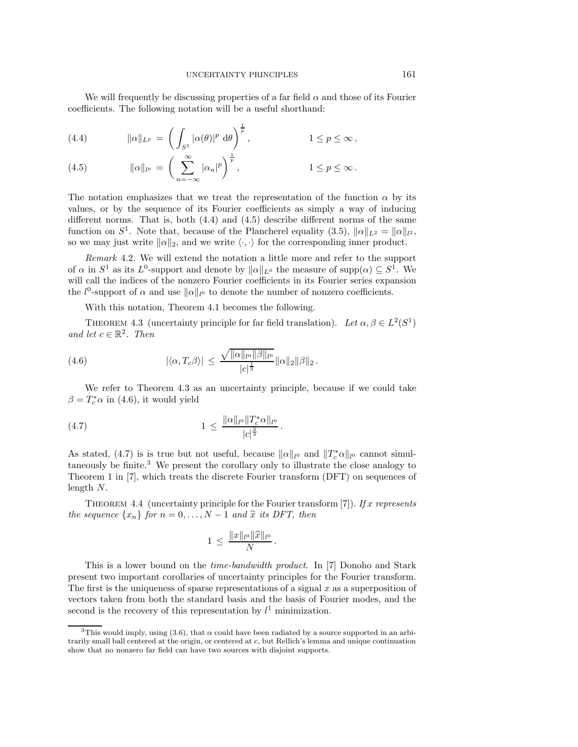We will frequently be discussing properties of a far field  $\alpha$  and those of its Fourier coefficients. The following notation will be a useful shorthand:

<span id="page-7-0"></span>(4.4) 
$$
\|\alpha\|_{L^p} = \left(\int_{S^1} |\alpha(\theta)|^p \ d\theta\right)^{\frac{1}{p}}, \qquad 1 \le p \le \infty,
$$

<span id="page-7-1"></span>(4.5) 
$$
\|\alpha\|_{l^p} = \left(\sum_{n=-\infty}^{\infty} |\alpha_n|^p\right)^{\frac{1}{p}}, \qquad 1 \leq p \leq \infty.
$$

The notation emphasizes that we treat the representation of the function  $\alpha$  by its values, or by the sequence of its Fourier coefficients as simply a way of inducing different norms. That is, both  $(4.4)$  and  $(4.5)$  describe different norms of the same function on  $S^1$ . Note that, because of the Plancherel equality [\(3.5\)](#page-4-2),  $\|\alpha\|_{L^2} = \|\alpha\|_{l^2}$ , so we may just write  $\|\alpha\|_2$ , and we write  $\langle \cdot, \cdot \rangle$  for the corresponding inner product.

*Remark* 4.2. We will extend the notation a little more and refer to the support of  $\alpha$  in  $S^1$  as its  $L^0$ -support and denote by  $\|\alpha\|_{L^0}$  the measure of supp $(\alpha) \subseteq S^1$ . We will call the indices of the nonzero Fourier coefficients in its Fourier series expansion the  $l^0$ -support of  $\alpha$  and use  $\|\alpha\|_{l^0}$  to denote the number of nonzero coefficients.

<span id="page-7-3"></span>With this notation, Theorem [4.1](#page-6-2) becomes the following.

<span id="page-7-2"></span>THEOREM 4.3 (uncertainty principle for far field translation). Let  $\alpha, \beta \in L^2(S^1)$ *and let*  $c \in \mathbb{R}^2$ *. Then* 

(4.6) 
$$
|\langle \alpha, T_c \beta \rangle| \leq \frac{\sqrt{\|\alpha\|_{l^0} \|\beta\|_{l^0}}}{|c|^{\frac{1}{3}}} \|\alpha\|_2 \|\beta\|_2.
$$

We refer to Theorem [4.3](#page-7-2) as an uncertainty principle, because if we could take  $\beta = T_c^* \alpha$  in [\(4.6\)](#page-7-3), it would yield

$$
(4.7) \t\t 1 \leq \frac{\|\alpha\|_{l^0} \|T_c^* \alpha\|_{l^0}}{|c|^{\frac{2}{3}}}.
$$

As stated, [\(4.7\)](#page-7-4) is is true but not useful, because  $\|\alpha\|_{l^0}$  and  $\|T_c^*\alpha\|_{l^0}$  cannot simultaneously be finite.[3](#page-7-5) We present the corollary only to illustrate the close analogy to Theorem 1 in [\[7\]](#page-26-0), which treats the discrete Fourier transform (DFT) on sequences of length N.

Theorem 4.4 (uncertainty principle for the Fourier transform [\[7\]](#page-26-0)). *If* x *represents the sequence*  $\{x_n\}$  *for*  $n = 0, ..., N - 1$  *and*  $\hat{x}$  *its DFT, then* 

<span id="page-7-4"></span>
$$
1 \, \leq \, \frac{\|x\|_{l^0} \|\widehat{x}\|_{l^0}}{N} \, .
$$

This is a lower bound on the *time-bandwidth product*. In [\[7\]](#page-26-0) Donoho and Stark present two important corollaries of uncertainty principles for the Fourier transform. The first is the uniqueness of sparse representations of a signal  $x$  as a superposition of vectors taken from both the standard basis and the basis of Fourier modes, and the second is the recovery of this representation by  $l^1$  minimization.

<span id="page-7-5"></span><sup>&</sup>lt;sup>3</sup>This would imply, using [\(3.6\)](#page-4-3), that  $\alpha$  could have been radiated by a source supported in an arbitrarily small ball centered at the origin, or centered at c, but Rellich's lemma and unique continuation show that no nonzero far field can have two sources with disjoint supports.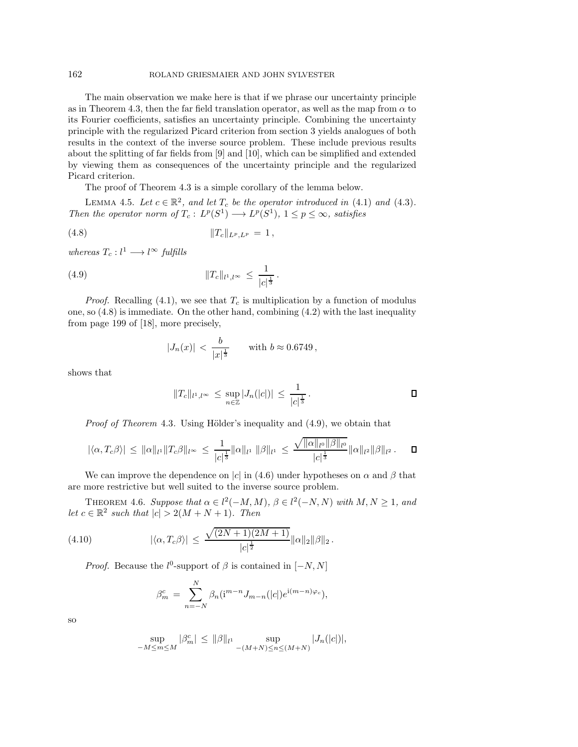## 162 ROLAND GRIESMAIER AND JOHN SYLVESTER

The main observation we make here is that if we phrase our uncertainty principle as in Theorem [4.3,](#page-7-2) then the far field translation operator, as well as the map from  $\alpha$  to its Fourier coefficients, satisfies an uncertainty principle. Combining the uncertainty principle with the regularized Picard criterion from section [3](#page-3-0) yields analogues of both results in the context of the inverse source problem. These include previous results about the splitting of far fields from [\[9\]](#page-26-2) and [\[10\]](#page-26-3), which can be simplified and extended by viewing them as consequences of the uncertainty principle and the regularized Picard criterion.

The proof of Theorem [4.3](#page-7-2) is a simple corollary of the lemma below.

LEMMA 4.5. Let  $c \in \mathbb{R}^2$ , and let  $T_c$  be the operator introduced in [\(4.1\)](#page-6-3) and [\(4.3\)](#page-6-4). *Then the operator norm of*  $T_c: L^p(S^1) \longrightarrow L^p(S^1), 1 \leq p \leq \infty$ *, satisfies* 

(4.8) 
$$
||T_c||_{L^p, L^p} = 1,
$$

 $whereas T_c: l^1 \longrightarrow l^{\infty}$  *fulfills* 

(4.9) 
$$
||T_c||_{l^1,l^\infty} \leq \frac{1}{|c|^{\frac{1}{3}}}.
$$

*Proof.* Recalling  $(4.1)$ , we see that  $T_c$  is multiplication by a function of modulus one, so  $(4.8)$  is immediate. On the other hand, combining  $(4.2)$  with the last inequality from page 199 of [\[18\]](#page-26-11), more precisely,

<span id="page-8-1"></span><span id="page-8-0"></span>
$$
|J_n(x)| < \frac{b}{|x|^{\frac{1}{3}}} \quad \text{with } b \approx 0.6749
$$

shows that

$$
||T_c||_{l^1,l^\infty} \leq \sup_{n \in \mathbb{Z}} |J_n(|c|)| \leq \frac{1}{|c|^{\frac{1}{3}}}.
$$

*Proof of Theorem* [4.3](#page-7-2). Using Hölder's inequality and [\(4.9\)](#page-8-1), we obtain that

$$
|\langle \alpha, T_c\beta \rangle| \leq ||\alpha||_{l^1} ||T_c\beta||_{l^{\infty}} \leq \frac{1}{|c|^{\frac{1}{3}}} ||\alpha||_{l^1} ||\beta||_{l^1} \leq \frac{\sqrt{||\alpha||_{l^0} ||\beta||_{l^0}}}{|c|^{\frac{1}{3}}} ||\alpha||_{l^2} ||\beta||_{l^2}.
$$

<span id="page-8-2"></span>We can improve the dependence on |c| in [\(4.6\)](#page-7-3) under hypotheses on  $\alpha$  and  $\beta$  that are more restrictive but well suited to the inverse source problem.

THEOREM 4.6. *Suppose that*  $\alpha \in l^2(-M, M)$ ,  $\beta \in l^2(-N, N)$  *with*  $M, N \geq 1$ *, and let*  $c \in \mathbb{R}^2$  *such that*  $|c| > 2(M + N + 1)$ *. Then* 

(4.10) 
$$
|\langle \alpha, T_c \beta \rangle| \leq \frac{\sqrt{(2N+1)(2M+1)}}{|c|^{\frac{1}{2}}} ||\alpha||_2 ||\beta||_2.
$$

*Proof.* Because the  $l^0$ -support of  $\beta$  is contained in  $[-N, N]$ 

$$
\beta_m^c = \sum_{n=-N}^N \beta_n (\mathbf{i}^{m-n} J_{m-n}(|c|) e^{\mathbf{i} (m-n)\varphi_c}),
$$

so

$$
\sup_{-M \le m \le M} |\beta_m^c| \le \|\beta\|_{l^1} \sup_{-(M+N) \le n \le (M+N)} |J_n(|c|)|,
$$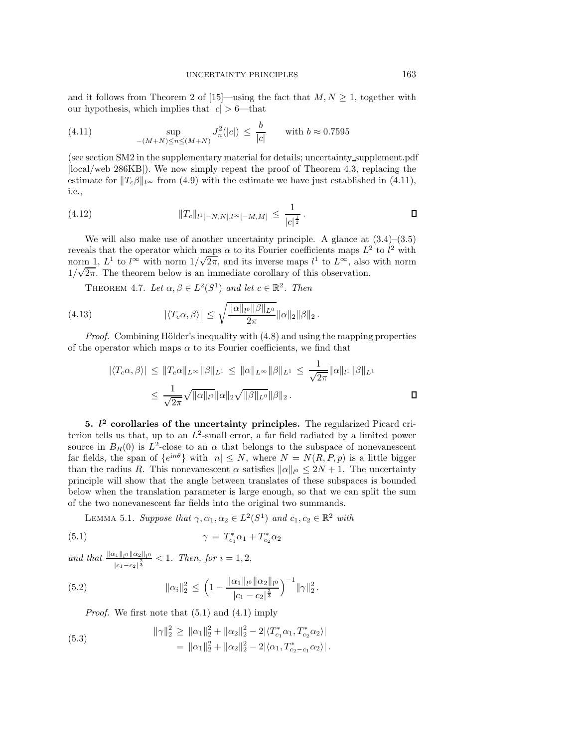and it follows from Theorem 2 of [\[15\]](#page-26-12)—using the fact that  $M, N \geq 1$ , together with our hypothesis, which implies that  $|c| > 6$ —that

<span id="page-9-1"></span>(4.11) 
$$
\sup_{-(M+N)\le n\le (M+N)} J_n^2(|c|) \le \frac{b}{|c|} \quad \text{with } b \approx 0.7595
$$

(see section SM2 in the supplementary material for details; uncertainty supplement.pdf [\[local](#page-0-1)[/web](http://epubs.siam.org/doi/suppl/10.1137/16M1086157/suppl_file/uncertainty_supplement.pdf) 286KB]). We now simply repeat the proof of Theorem [4.3,](#page-7-2) replacing the estimate for  $||T_c\beta||_{l^{\infty}}$  from [\(4.9\)](#page-8-1) with the estimate we have just established in [\(4.11\)](#page-9-1), i.e.,

<span id="page-9-8"></span>
$$
(4.12) \t\t\t ||T_c||_{l^1[-N,N],l^{\infty}[-M,M]} \leq \frac{1}{|c|^{\frac{1}{2}}}.
$$

We will also make use of another uncertainty principle. A glance at  $(3.4)$ – $(3.5)$ reveals that the operator which maps  $\alpha$  to its Fourier coefficients maps  $L^2$  to  $l^2$  with norm 1,  $L^1$  to  $l^{\infty}$  with norm  $1/\sqrt{2\pi}$ , and its inverse maps  $l^1$  to  $L^{\infty}$ , also with norm  $1/\sqrt{2\pi}$ . The theorem below is an immediate corollary of this observation.

THEOREM 4.7. Let  $\alpha, \beta \in L^2(S^1)$  and let  $c \in \mathbb{R}^2$ . Then

(4.13) 
$$
|\langle T_c \alpha, \beta \rangle| \leq \sqrt{\frac{\|\alpha\|_{l^0} \|\beta\|_{L^0}}{2\pi}} \|\alpha\|_2 \|\beta\|_2.
$$

*Proof.* Combining Hölder's inequality with  $(4.8)$  and using the mapping properties of the operator which maps  $\alpha$  to its Fourier coefficients, we find that

<span id="page-9-7"></span><span id="page-9-4"></span>
$$
|\langle T_c \alpha, \beta \rangle| \le ||T_c \alpha||_{L^{\infty}} ||\beta||_{L^1} \le ||\alpha||_{L^{\infty}} ||\beta||_{L^1} \le \frac{1}{\sqrt{2\pi}} ||\alpha||_{l^1} ||\beta||_{L^1}
$$
  

$$
\le \frac{1}{\sqrt{2\pi}} \sqrt{||\alpha||_{l^0}} ||\alpha||_2 \sqrt{||\beta||_{L^0}} ||\beta||_2.
$$

<span id="page-9-0"></span>**5.** *l* **<sup>2</sup> corollaries of the uncertainty principles.** The regularized Picard criterion tells us that, up to an  $L^2$ -small error, a far field radiated by a limited power source in  $B_R(0)$  is  $L^2$ -close to an  $\alpha$  that belongs to the subspace of nonevanescent far fields, the span of  $\{e^{in\theta}\}\$  with  $|n| \leq N$ , where  $N = N(R, P, p)$  is a little bigger than the radius R. This nonevanescent  $\alpha$  satisfies  $\|\alpha\|_{l^0} \leq 2N + 1$ . The uncertainty principle will show that the angle between translates of these subspaces is bounded below when the translation parameter is large enough, so that we can split the sum of the two nonevanescent far fields into the original two summands.

<span id="page-9-5"></span><span id="page-9-2"></span>LEMMA 5.1. *Suppose that*  $\gamma, \alpha_1, \alpha_2 \in L^2(S^1)$  *and*  $c_1, c_2 \in \mathbb{R}^2$  *with* 

(5.1) 
$$
\gamma = T_{c_1}^* \alpha_1 + T_{c_2}^* \alpha_2
$$

*and that*  $\frac{\|\alpha_1\|_{l^0} \|\alpha_2\|_{l^0}}{2}$  $\frac{d_1||_1|_0 ||\alpha_2||_1|_0}{|c_1-c_2|^{\frac{2}{3}}}$  < 1*. Then, for*  $i = 1, 2$ ,

(5.2) 
$$
\|\alpha_i\|_2^2 \le \left(1 - \frac{\|\alpha_1\|_{l^0} \|\alpha_2\|_{l^0}}{|c_1 - c_2|^{\frac{2}{3}}}\right)^{-1} \|\gamma\|_2^2.
$$

<span id="page-9-3"></span>*Proof.* We first note that [\(5.1\)](#page-9-2) and [\(4.1\)](#page-6-3) imply

<span id="page-9-6"></span>(5.3) 
$$
\|\gamma\|_2^2 \ge \|\alpha_1\|_2^2 + \|\alpha_2\|_2^2 - 2|\langle T_{c_1}^*\alpha_1, T_{c_2}^*\alpha_2\rangle| = \|\alpha_1\|_2^2 + \|\alpha_2\|_2^2 - 2|\langle \alpha_1, T_{c_2-c_1}^*\alpha_2\rangle|.
$$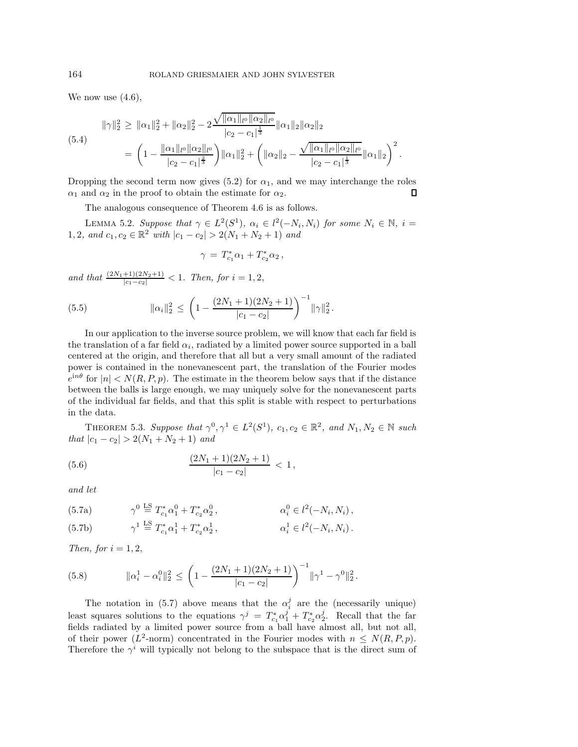We now use  $(4.6)$ ,

<span id="page-10-5"></span>
$$
\|\gamma\|_2^2 \geq \|\alpha_1\|_2^2 + \|\alpha_2\|_2^2 - 2 \frac{\sqrt{\|\alpha_1\|_{l^0} \|\alpha_2\|_{l^0}}}{|c_2 - c_1|^{\frac{1}{3}}} \|\alpha_1\|_2 \|\alpha_2\|_2
$$
  
(5.4)  

$$
= \left(1 - \frac{\|\alpha_1\|_{l^0} \|\alpha_2\|_{l^0}}{|c_2 - c_1|^{\frac{2}{3}}}\right) \|\alpha_1\|_2^2 + \left(\|\alpha_2\|_2 - \frac{\sqrt{\|\alpha_1\|_{l^0} \|\alpha_2\|_{l^0}}}{|c_2 - c_1|^{\frac{1}{3}}} \|\alpha_1\|_2\right)^2.
$$

Dropping the second term now gives [\(5.2\)](#page-9-3) for  $\alpha_1$ , and we may interchange the roles  $\alpha_1$  and  $\alpha_2$  in the proof to obtain the estimate for  $\alpha_2$ .  $\Box$ 

The analogous consequence of Theorem [4.6](#page-8-2) is as follows.

LEMMA 5.2. *Suppose that*  $\gamma \in L^2(S^1)$ ,  $\alpha_i \in l^2(-N_i, N_i)$  *for some*  $N_i \in \mathbb{N}$ ,  $i =$ 1, 2, and  $c_1, c_2 \in \mathbb{R}^2$  *with*  $|c_1 - c_2| > 2(N_1 + N_2 + 1)$  *and* 

<span id="page-10-4"></span><span id="page-10-3"></span>
$$
\gamma = T_{c_1}^* \alpha_1 + T_{c_2}^* \alpha_2 ,
$$

*and that*  $\frac{(2N_1+1)(2N_2+1)}{|c_1-c_2|} < 1$ *. Then, for*  $i = 1, 2$ ,

(5.5) 
$$
\|\alpha_i\|_2^2 \le \left(1 - \frac{(2N_1 + 1)(2N_2 + 1)}{|c_1 - c_2|}\right)^{-1} \|\gamma\|_2^2.
$$

In our application to the inverse source problem, we will know that each far field is the translation of a far field  $\alpha_i$ , radiated by a limited power source supported in a ball centered at the origin, and therefore that all but a very small amount of the radiated power is contained in the nonevanescent part, the translation of the Fourier modes  $e^{in\theta}$  for  $|n| < N(R, P, p)$ . The estimate in the theorem below says that if the distance between the balls is large enough, we may uniquely solve for the nonevanescent parts of the individual far fields, and that this split is stable with respect to perturbations in the data.

<span id="page-10-2"></span>THEOREM 5.3. Suppose that  $\gamma^0, \gamma^1 \in L^2(S^1)$ ,  $c_1, c_2 \in \mathbb{R}^2$ , and  $N_1, N_2 \in \mathbb{N}$  such *that*  $|c_1 - c_2| > 2(N_1 + N_2 + 1)$  *and* 

(5.6) 
$$
\frac{(2N_1+1)(2N_2+1)}{|c_1-c_2|} < 1,
$$

<span id="page-10-0"></span>*and let*

(5.7a) 
$$
\gamma^0 \stackrel{\text{LS}}{=} T_{c_1}^* \alpha_1^0 + T_{c_2}^* \alpha_2^0, \qquad \alpha_i^0 \in l^2(-N_i, N_i),
$$

(5.7b) 
$$
\gamma^1 \stackrel{\text{LS}}{=} T_{c_1}^* \alpha_1^1 + T_{c_2}^* \alpha_2^1, \qquad \alpha_i^1 \in l^2(-N_i, N_i).
$$

*Then, for*  $i = 1, 2$ ,

<span id="page-10-1"></span>(5.8) 
$$
\|\alpha_i^1 - \alpha_i^0\|_2^2 \le \left(1 - \frac{(2N_1 + 1)(2N_2 + 1)}{|c_1 - c_2|}\right)^{-1} \|\gamma^1 - \gamma^0\|_2^2.
$$

The notation in [\(5.7\)](#page-10-0) above means that the  $\alpha_i^j$  are the (necessarily unique) least squares solutions to the equations  $\gamma^j = T_{c_1}^* \alpha_1^j + T_{c_2}^* \alpha_2^j$ . Recall that the far fields radiated by a limited power source from a ball have almost all, but not all, of their power ( $L^2$ -norm) concentrated in the Fourier modes with  $n \leq N(R, P, p)$ . Therefore the  $\gamma^i$  will typically not belong to the subspace that is the direct sum of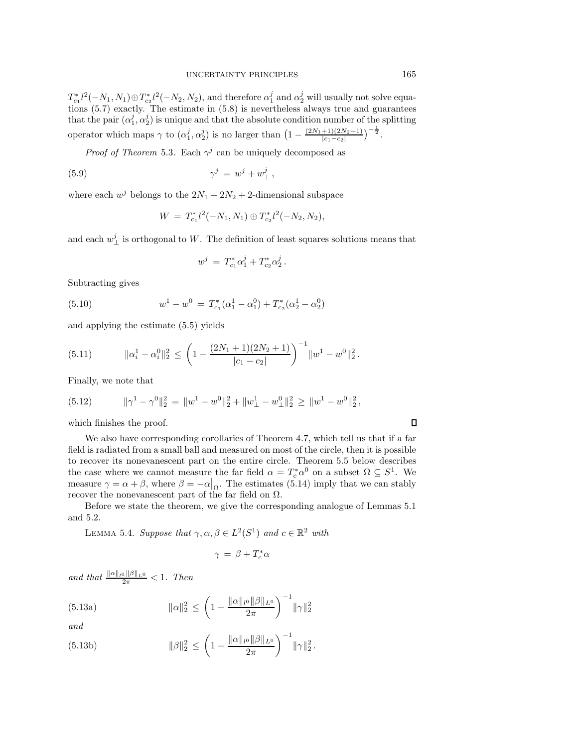$T_{c_1}^*l^2(-N_1,N_1)\oplus T_{c_2}^*l^2(-N_2,N_2)$ , and therefore  $\alpha_1^j$  and  $\alpha_2^j$  will usually not solve equations [\(5.7\)](#page-10-0) exactly. The estimate in [\(5.8\)](#page-10-1) is nevertheless always true and guarantees that the pair  $(\alpha_1^j, \alpha_2^j)$  is unique and that the absolute condition number of the splitting operator which maps  $\gamma$  to  $(\alpha_1^j, \alpha_2^j)$  is no larger than  $\left(1 - \frac{(2N_1+1)(2N_2+1)}{|c_1-c_2|}\right)^{-\frac{1}{2}}$ .

*Proof of Theorem* [5.3](#page-10-2). Each  $\gamma^j$  can be uniquely decomposed as

(5.9) γ<sup>j</sup> = w<sup>j</sup> + w<sup>j</sup> ⊥ ,

where each  $w^j$  belongs to the  $2N_1 + 2N_2 + 2$ -dimensional subspace

<span id="page-11-0"></span>
$$
W = T_{c_1}^* l^2(-N_1, N_1) \oplus T_{c_2}^* l^2(-N_2, N_2),
$$

and each  $w_{\perp}^{j}$  is orthogonal to W. The definition of least squares solutions means that

<span id="page-11-1"></span>
$$
w^j = T_{c_1}^* \alpha_1^j + T_{c_2}^* \alpha_2^j.
$$

Subtracting gives

(5.10) 
$$
w^{1} - w^{0} = T_{c_{1}}^{*}(\alpha_{1}^{1} - \alpha_{1}^{0}) + T_{c_{2}}^{*}(\alpha_{2}^{1} - \alpha_{2}^{0})
$$

and applying the estimate [\(5.5\)](#page-10-3) yields

<span id="page-11-2"></span>(5.11) 
$$
\|\alpha_i^1 - \alpha_i^0\|_2^2 \le \left(1 - \frac{(2N_1 + 1)(2N_2 + 1)}{|c_1 - c_2|}\right)^{-1} \|w^1 - w^0\|_2^2.
$$

Finally, we note that

<span id="page-11-4"></span>(5.12) 
$$
\|\gamma^1 - \gamma^0\|_2^2 = \|w^1 - w^0\|_2^2 + \|w_\perp^1 - w_\perp^0\|_2^2 \ge \|w^1 - w^0\|_2^2,
$$

which finishes the proof.

We also have corresponding corollaries of Theorem [4.7,](#page-9-4) which tell us that if a far field is radiated from a small ball and measured on most of the circle, then it is possible to recover its nonevanescent part on the entire circle. Theorem [5.5](#page-12-0) below describes the case where we cannot measure the far field  $\alpha = T_c^* \alpha^0$  on a subset  $\Omega \subseteq S^1$ . We measure  $\gamma = \alpha + \beta$ , where  $\beta = -\alpha|_{\Omega}$ . The estimates [\(5.14\)](#page-12-1) imply that we can stably recover the nonevanescent part of the far field on  $\Omega.$ 

Before we state the theorem, we give the corresponding analogue of Lemmas [5.1](#page-9-5) and [5.2.](#page-10-4)

LEMMA 5.4. *Suppose that*  $\gamma, \alpha, \beta \in L^2(S^1)$  *and*  $c \in \mathbb{R}^2$  *with* 

<span id="page-11-3"></span>
$$
\gamma = \beta + T_c^* \alpha
$$

*and that*  $\frac{\|\alpha\|_{l^0}\|\beta\|_{L^0}}{2\pi} < 1$ *. Then* 

(5.13a) 
$$
\|\alpha\|_2^2 \le \left(1 - \frac{\|\alpha\|_{l^0} \|\beta\|_{L^0}}{2\pi}\right)^{-1} \|\gamma\|_2^2
$$

*and*

(5.13b) 
$$
\|\beta\|_2^2 \le \left(1 - \frac{\|\alpha\|_{l^0} \|\beta\|_{L^0}}{2\pi}\right)^{-1} \|\gamma\|_2^2.
$$

 $\Box$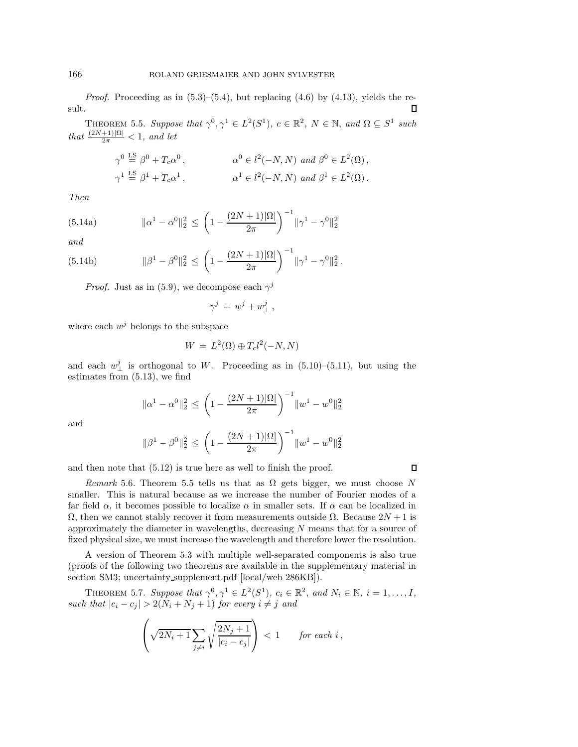*Proof.* Proceeding as in  $(5.3)$ – $(5.4)$ , but replacing  $(4.6)$  by  $(4.13)$ , yields the result. П

<span id="page-12-0"></span>THEOREM 5.5. Suppose that  $\gamma^0, \gamma^1 \in L^2(S^1)$ ,  $c \in \mathbb{R}^2$ ,  $N \in \mathbb{N}$ , and  $\Omega \subseteq S^1$  such *that*  $\frac{(2N+1)|\Omega|}{2\pi} < 1$ *, and let* 

$$
\gamma^0 \stackrel{\text{LS}}{=} \beta^0 + T_c \alpha^0, \qquad \alpha^0 \in l^2(-N, N) \text{ and } \beta^0 \in L^2(\Omega),
$$
  

$$
\gamma^1 \stackrel{\text{LS}}{=} \beta^1 + T_c \alpha^1, \qquad \alpha^1 \in l^2(-N, N) \text{ and } \beta^1 \in L^2(\Omega).
$$

<span id="page-12-1"></span>*Then*

(5.14a) 
$$
\|\alpha^1 - \alpha^0\|_2^2 \le \left(1 - \frac{(2N+1)|\Omega|}{2\pi}\right)^{-1} \|\gamma^1 - \gamma^0\|_2^2
$$

*and*

(5.14b) 
$$
\|\beta^1 - \beta^0\|_2^2 \le \left(1 - \frac{(2N+1)|\Omega|}{2\pi}\right)^{-1} \|\gamma^1 - \gamma^0\|_2^2.
$$

*Proof.* Just as in [\(5.9\)](#page-11-0), we decompose each  $\gamma^{j}$ 

$$
\gamma^j\,=\,w^j+w^j_\perp\,,
$$

where each  $w^j$  belongs to the subspace

$$
W = L^2(\Omega) \oplus T_c l^2(-N, N)
$$

and each  $w_{\perp}^{j}$  is orthogonal to W. Proceeding as in [\(5.10\)](#page-11-1)–[\(5.11\)](#page-11-2), but using the estimates from [\(5.13\)](#page-11-3), we find

$$
\|\alpha^1 - \alpha^0\|_2^2 \le \left(1 - \frac{(2N+1)|\Omega|}{2\pi}\right)^{-1} \|w^1 - w^0\|_2^2
$$

and

$$
\|\beta^1-\beta^0\|_2^2 \, \leq \, \bigg(1-\frac{(2N+1)|\Omega|}{2\pi}\bigg)^{-1}\|w^1-w^0\|_2^2
$$

 $\Box$ 

and then note that [\(5.12\)](#page-11-4) is true here as well to finish the proof.

*Remark* 5.6. Theorem [5.5](#page-12-0) tells us that as  $\Omega$  gets bigger, we must choose N smaller. This is natural because as we increase the number of Fourier modes of a far field  $\alpha$ , it becomes possible to localize  $\alpha$  in smaller sets. If  $\alpha$  can be localized in  $\Omega$ , then we cannot stably recover it from measurements outside  $\Omega$ . Because  $2N+1$  is approximately the diameter in wavelengths, decreasing  $N$  means that for a source of fixed physical size, we must increase the wavelength and therefore lower the resolution.

A version of Theorem [5.3](#page-10-2) with multiple well-separated components is also true (proofs of the following two theorems are available in the supplementary material in section SM3; uncertainty supplement.pdf [\[local](#page-0-1)[/web](http://epubs.siam.org/doi/suppl/10.1137/16M1086157/suppl_file/uncertainty_supplement.pdf) 286KB]).

THEOREM 5.7. *Suppose that*  $\gamma^0, \gamma^1 \in L^2(S^1), c_i \in \mathbb{R}^2$ , and  $N_i \in \mathbb{N}, i = 1, \ldots, I$ , *such that*  $|c_i - c_j| > 2(N_i + N_j + 1)$  *for every*  $i \neq j$  *and* 

$$
\left(\sqrt{2N_i+1}\sum_{j\neq i}\sqrt{\frac{2N_j+1}{|c_i-c_j|}}\right) < 1 \qquad \text{for each } i\,,
$$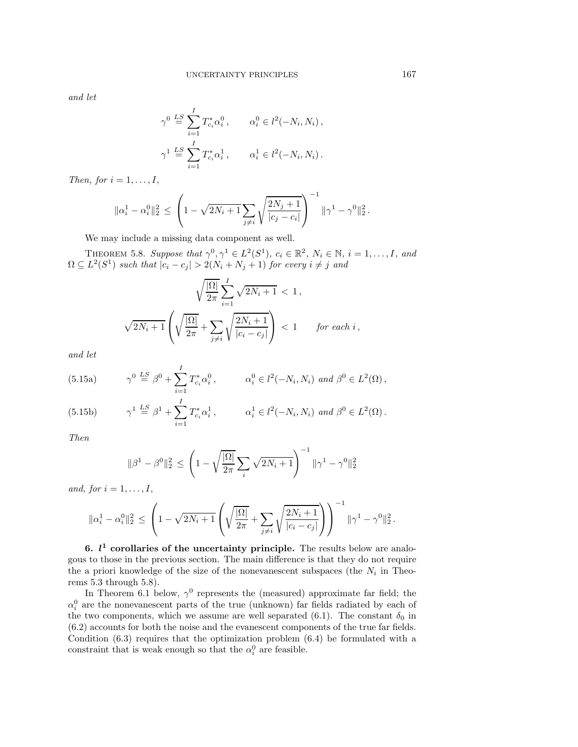*and let*

$$
\gamma^0 \stackrel{LS}{=} \sum_{i=1}^I T_{c_i}^* \alpha_i^0, \qquad \alpha_i^0 \in l^2(-N_i, N_i),
$$
  

$$
\gamma^1 \stackrel{LS}{=} \sum_{i=1}^I T_{c_i}^* \alpha_i^1, \qquad \alpha_i^1 \in l^2(-N_i, N_i).
$$

*Then, for*  $i = 1, \ldots, I$ ,

$$
\|\alpha_i^1 - \alpha_i^0\|_2^2 \le \left(1 - \sqrt{2N_i + 1} \sum_{j \neq i} \sqrt{\frac{2N_j + 1}{|c_j - c_i|}}\right)^{-1} \|\gamma^1 - \gamma^0\|_2^2.
$$

We may include a missing data component as well.

<span id="page-13-1"></span>THEOREM 5.8. *Suppose that*  $\gamma^0, \gamma^1 \in L^2(S^1), c_i \in \mathbb{R}^2, N_i \in \mathbb{N}, i = 1, ..., I$ , and  $\Omega \subseteq L^2(S^1)$  such that  $|c_i - c_j| > 2(N_i + N_j + 1)$  for every  $i \neq j$  and

$$
\sqrt{\frac{|\Omega|}{2\pi}} \sum_{i=1}^{I} \sqrt{2N_i + 1} < 1,
$$
\n
$$
\sqrt{2N_i + 1} \left( \sqrt{\frac{|\Omega|}{2\pi}} + \sum_{j \neq i} \sqrt{\frac{2N_i + 1}{|c_i - c_j|}} \right) < 1 \qquad \text{for each } i,
$$

<span id="page-13-2"></span>*and let*

(5.15a) 
$$
\gamma^0 \stackrel{LS}{=} \beta^0 + \sum_{i=1}^I T_{c_i}^* \alpha_i^0, \qquad \alpha_i^0 \in l^2(-N_i, N_i) \text{ and } \beta^0 \in L^2(\Omega),
$$

(5.15b) 
$$
\gamma^1 \stackrel{LS}{=} \beta^1 + \sum_{i=1}^I T_{c_i}^* \alpha_i^1, \qquad \alpha_i^1 \in l^2(-N_i, N_i) \text{ and } \beta^0 \in L^2(\Omega).
$$

*Then*

$$
\|\beta^1 - \beta^0\|_2^2 \le \left(1 - \sqrt{\frac{|\Omega|}{2\pi}} \sum_i \sqrt{2N_i + 1}\right)^{-1} \|\gamma^1 - \gamma^0\|_2^2
$$

*and, for*  $i = 1, \ldots, I$ ,

$$
\|\alpha_i^1 - \alpha_i^0\|_2^2 \le \left(1 - \sqrt{2N_i + 1}\left(\sqrt{\frac{|\Omega|}{2\pi}} + \sum_{j \ne i} \sqrt{\frac{2N_i + 1}{|c_i - c_j|}}\right)\right)^{-1} \|\gamma^1 - \gamma^0\|_2^2.
$$

<span id="page-13-0"></span>**6.**  $l^1$  **corollaries of the uncertainty principle.** The results below are analogous to those in the previous section. The main difference is that they do not require the a priori knowledge of the size of the nonevanescent subspaces (the  $N_i$  in Theorems [5.3](#page-10-2) through [5.8\)](#page-13-1).

In Theorem [6.1](#page-14-0) below,  $\gamma^0$  represents the (measured) approximate far field; the  $\alpha_i^0$  are the nonevanescent parts of the true (unknown) far fields radiated by each of the two components, which we assume are well separated [\(6.1\)](#page-14-1). The constant  $\delta_0$  in [\(6.2\)](#page-14-2) accounts for both the noise and the evanescent components of the true far fields. Condition [\(6.3\)](#page-14-3) requires that the optimization problem [\(6.4\)](#page-14-4) be formulated with a constraint that is weak enough so that the  $\alpha_i^0$  are feasible.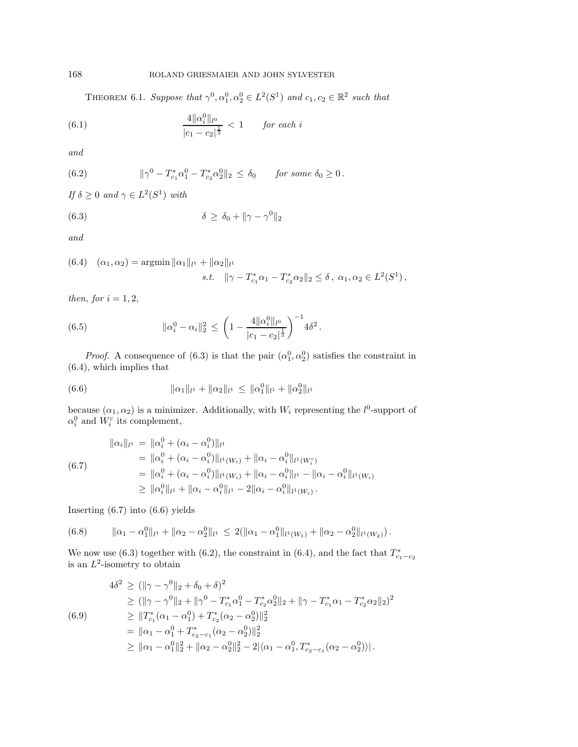<span id="page-14-1"></span>THEOREM 6.1. *Suppose that*  $\gamma^0, \alpha_1^0, \alpha_2^0 \in L^2(S^1)$  *and*  $c_1, c_2 \in \mathbb{R}^2$  *such that* 

(6.1) 
$$
\frac{4\|\alpha_i^0\|_{l^0}}{|c_1-c_2|^{\frac{1}{3}}}<1 \quad \text{for each } i
$$

*and*

<span id="page-14-2"></span>(6.2) 
$$
\|\gamma^0 - T_{c_1}^* \alpha_1^0 - T_{c_2}^* \alpha_2^0\|_2 \le \delta_0 \quad \text{for some } \delta_0 \ge 0.
$$

*If*  $\delta \geq 0$  *and*  $\gamma \in L^2(S^1)$  *with* 

<span id="page-14-3"></span>(6.3) 
$$
\delta \geq \delta_0 + \|\gamma - \gamma^0\|_2
$$

*and*

<span id="page-14-4"></span>(6.4) 
$$
(\alpha_1, \alpha_2) = \operatorname{argmin} \|\alpha_1\|_{l^1} + \|\alpha_2\|_{l^1}
$$
  
s.t. 
$$
\|\gamma - T_{c_1}^* \alpha_1 - T_{c_2}^* \alpha_2\|_2 \le \delta, \ \alpha_1, \alpha_2 \in L^2(S^1),
$$

*then, for*  $i = 1, 2$ ,

<span id="page-14-8"></span>(6.5) 
$$
\|\alpha_i^0 - \alpha_i\|_2^2 \le \left(1 - \frac{4\|\alpha_i^0\|_{l^0}}{|c_1 - c_2|^{\frac{1}{3}}}\right)^{-1} 4\delta^2.
$$

*Proof.* A consequence of  $(6.3)$  is that the pair  $(\alpha_1^0, \alpha_2^0)$  satisfies the constraint in [\(6.4\)](#page-14-4), which implies that

<span id="page-14-6"></span>(6.6) 
$$
\|\alpha_1\|_{l^1} + \|\alpha_2\|_{l^1} \le \|\alpha_1^0\|_{l^1} + \|\alpha_2^0\|_{l^1}
$$

because  $(\alpha_1, \alpha_2)$  is a minimizer. Additionally, with  $W_i$  representing the  $l^0$ -support of  $\alpha_i^0$  and  $W_i^c$  its complement,

<span id="page-14-5"></span>
$$
\|\alpha_{i}\|_{l^{1}} = \|\alpha_{i}^{0} + (\alpha_{i} - \alpha_{i}^{0})\|_{l^{1}}
$$
\n
$$
= \|\alpha_{i}^{0} + (\alpha_{i} - \alpha_{i}^{0})\|_{l^{1}(W_{i})} + \|\alpha_{i} - \alpha_{i}^{0}\|_{l^{1}(W_{i}^{c})}
$$
\n
$$
= \|\alpha_{i}^{0} + (\alpha_{i} - \alpha_{i}^{0})\|_{l^{1}(W_{i})} + \|\alpha_{i} - \alpha_{i}^{0}\|_{l^{1}} - \|\alpha_{i} - \alpha_{i}^{0}\|_{l^{1}(W_{i})}
$$
\n
$$
\geq \|\alpha_{i}^{0}\|_{l^{1}} + \|\alpha_{i} - \alpha_{i}^{0}\|_{l^{1}} - 2\|\alpha_{i} - \alpha_{i}^{0}\|_{l^{1}(W_{i})}.
$$

Inserting [\(6.7\)](#page-14-5) into [\(6.6\)](#page-14-6) yields

<span id="page-14-7"></span>
$$
(6.8) \t ||\alpha_1 - \alpha_1^0||_{l^1} + ||\alpha_2 - \alpha_2^0||_{l^1} \leq 2(||\alpha_1 - \alpha_1^0||_{l^1(W_1)} + ||\alpha_2 - \alpha_2^0||_{l^1(W_2)}).
$$

We now use [\(6.3\)](#page-14-3) together with [\(6.2\)](#page-14-2), the constraint in [\(6.4\)](#page-14-4), and the fact that  $T_{c_1-c_2}^*$  is an  $L^2$ -isometry to obtain

<span id="page-14-9"></span>
$$
4\delta^2 \geq (\|\gamma - \gamma^0\|_2 + \delta_0 + \delta)^2
$$
  
\n
$$
\geq (\|\gamma - \gamma^0\|_2 + \|\gamma^0 - T_{c_1}^*\alpha_1^0 - T_{c_2}^*\alpha_2^0\|_2 + \|\gamma - T_{c_1}^*\alpha_1 - T_{c_2}^*\alpha_2\|_2)^2
$$
  
\n(6.9)  
\n
$$
\geq \|T_{c_1}^*(\alpha_1 - \alpha_1^0) + T_{c_2}^*(\alpha_2 - \alpha_2^0)\|_2^2
$$
  
\n
$$
= \|\alpha_1 - \alpha_1^0 + T_{c_2 - c_1}^*(\alpha_2 - \alpha_2^0)\|_2^2
$$
  
\n
$$
\geq \|\alpha_1 - \alpha_1^0\|_2^2 + \|\alpha_2 - \alpha_2^0\|_2^2 - 2|\langle \alpha_1 - \alpha_1^0, T_{c_2 - c_1}^*(\alpha_2 - \alpha_2^0)\rangle|.
$$

<span id="page-14-0"></span>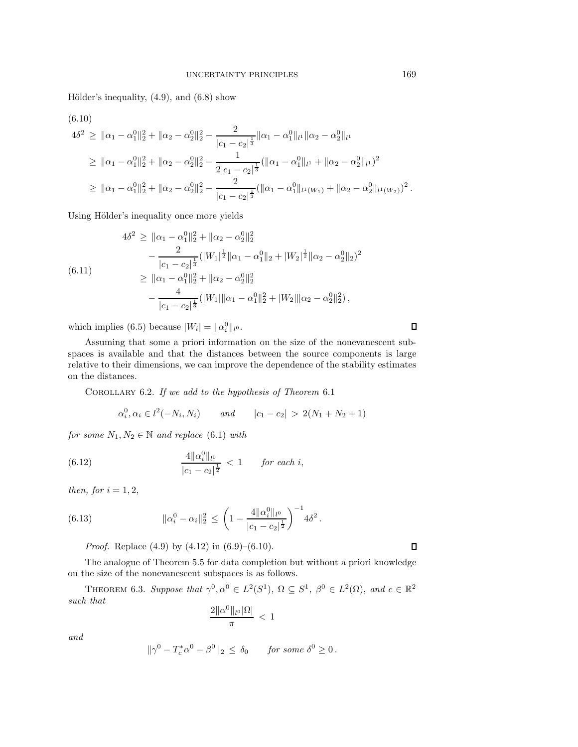Hölder's inequality,  $(4.9)$ , and  $(6.8)$  show

<span id="page-15-0"></span>(6.10)

$$
4\delta^2 \geq \|\alpha_1 - \alpha_1^0\|_2^2 + \|\alpha_2 - \alpha_2^0\|_2^2 - \frac{2}{|c_1 - c_2|^{\frac{1}{3}}} \|\alpha_1 - \alpha_1^0\|_{l^1} \|\alpha_2 - \alpha_2^0\|_{l^1}
$$
  
\n
$$
\geq \|\alpha_1 - \alpha_1^0\|_2^2 + \|\alpha_2 - \alpha_2^0\|_2^2 - \frac{1}{2|c_1 - c_2|^{\frac{1}{3}}} (\|\alpha_1 - \alpha_1^0\|_{l^1} + \|\alpha_2 - \alpha_2^0\|_{l^1})^2
$$
  
\n
$$
\geq \|\alpha_1 - \alpha_1^0\|_2^2 + \|\alpha_2 - \alpha_2^0\|_2^2 - \frac{2}{|c_1 - c_2|^{\frac{1}{3}}} (\|\alpha_1 - \alpha_1^0\|_{l^1(W_1)} + \|\alpha_2 - \alpha_2^0\|_{l^1(W_2)})^2.
$$

Using Hölder's inequality once more yields

$$
4\delta^2 \ge ||\alpha_1 - \alpha_1^0||_2^2 + ||\alpha_2 - \alpha_2^0||_2^2
$$
  

$$
-\frac{2}{|c_1 - c_2|^{\frac{1}{3}}} (|W_1|^{\frac{1}{2}} ||\alpha_1 - \alpha_1^0 ||_2 + |W_2|^{\frac{1}{2}} ||\alpha_2 - \alpha_2^0 ||_2)^2
$$
  

$$
\ge ||\alpha_1 - \alpha_1^0||_2^2 + ||\alpha_2 - \alpha_2^0||_2^2
$$
  

$$
-\frac{4}{|c_1 - c_2|^{\frac{1}{3}}} (|W_1| ||\alpha_1 - \alpha_1^0||_2^2 + |W_2||\alpha_2 - \alpha_2^0||_2^2),
$$

which implies [\(6.5\)](#page-14-8) because  $|W_i| = ||\alpha_i^0||_{l^0}$ .

Assuming that some a priori information on the size of the nonevanescent subspaces is available and that the distances between the source components is large relative to their dimensions, we can improve the dependence of the stability estimates on the distances.

<span id="page-15-2"></span>Corollary 6.2. *If we add to the hypothesis of Theorem* [6.1](#page-14-0)

$$
\alpha_i^0, \alpha_i \in l^2(-N_i, N_i)
$$
 and  $|c_1 - c_2| > 2(N_1 + N_2 + 1)$ 

*for some*  $N_1, N_2 \in \mathbb{N}$  *and replace* [\(6.1\)](#page-14-1) *with* 

(6.12) 
$$
\frac{4\|\alpha_i^0\|_{l^0}}{|c_1-c_2|^{\frac{1}{2}}} < 1 \quad \text{for each } i,
$$

*then, for*  $i = 1, 2$ ,

(6.13) 
$$
\|\alpha_i^0 - \alpha_i\|_2^2 \le \left(1 - \frac{4\|\alpha_i^0\|_{l^0}}{|c_1 - c_2|^{\frac{1}{2}}}\right)^{-1} 4\delta^2.
$$

*Proof.* Replace [\(4.9\)](#page-8-1) by [\(4.12\)](#page-9-8) in [\(6.9\)](#page-14-9)–[\(6.10\)](#page-15-0).

The analogue of Theorem [5.5](#page-12-0) for data completion but without a priori knowledge on the size of the nonevanescent subspaces is as follows.

THEOREM 6.3. Suppose that  $\gamma^0, \alpha^0 \in L^2(S^1), \Omega \subseteq S^1, \beta^0 \in L^2(\Omega),$  and  $c \in \mathbb{R}^2$ *such that*

<span id="page-15-1"></span>
$$
\frac{2\|\alpha^0\|_{l^0}|\Omega|}{\pi} \, < \, 1
$$

*and*

$$
\|\gamma^0-T_c^*\alpha^0-\beta^0\|_2\,\leq\,\delta_0\qquad\text{for some }\delta^0\geq 0\,.
$$

 $\Box$ 

 $\Box$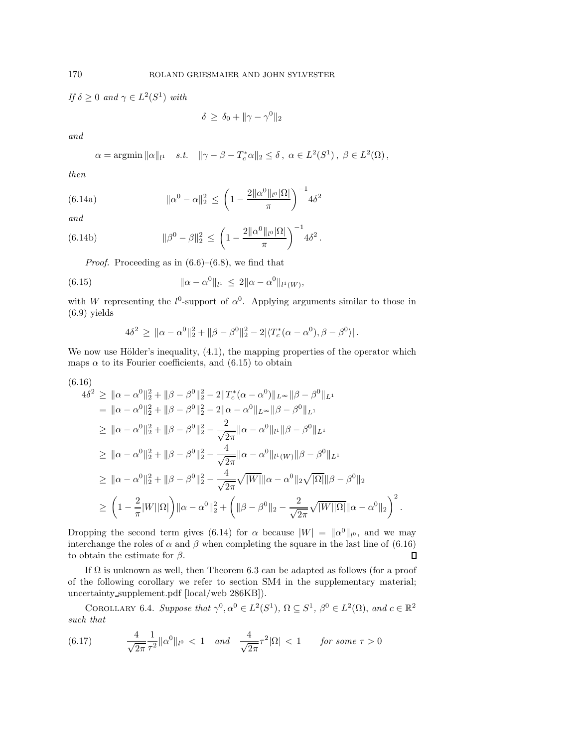*If*  $\delta \geq 0$  *and*  $\gamma \in L^2(S^1)$  *with* 

$$
\delta \ge \delta_0 + \|\gamma - \gamma^0\|_2
$$

*and*

<span id="page-16-1"></span>
$$
\alpha = \operatorname{argmin} \|\alpha\|_{l^1} \quad s.t. \quad \|\gamma - \beta - T_c^* \alpha\|_2 \le \delta \, , \; \alpha \in L^2(S^1) \, , \; \beta \in L^2(\Omega) \, ,
$$

*then*

(6.14a) 
$$
\|\alpha^0 - \alpha\|_2^2 \le \left(1 - \frac{2\|\alpha^0\|_{l^0} |\Omega|}{\pi}\right)^{-1} 4\delta^2
$$

*and*

(6.14b) 
$$
\|\beta^{0} - \beta\|_{2}^{2} \leq \left(1 - \frac{2\|\alpha^{0}\|_{l^{0}}|\Omega|}{\pi}\right)^{-1} 4\delta^{2}.
$$

*Proof.* Proceeding as in  $(6.6)$ – $(6.8)$ , we find that

(6.15) 
$$
\|\alpha - \alpha^0\|_{l^1} \le 2\|\alpha - \alpha^0\|_{l^1(W)},
$$

with W representing the  $l^0$ -support of  $\alpha^0$ . Applying arguments similar to those in [\(6.9\)](#page-14-9) yields

<span id="page-16-0"></span>
$$
4\delta^2 \geq \|\alpha - \alpha^0\|_2^2 + \|\beta - \beta^0\|_2^2 - 2|\langle T_c^*(\alpha - \alpha^0), \beta - \beta^0 \rangle|.
$$

We now use Hölder's inequality,  $(4.1)$ , the mapping properties of the operator which maps  $\alpha$  to its Fourier coefficients, and [\(6.15\)](#page-16-0) to obtain

<span id="page-16-2"></span>
$$
(6.16)
$$
\n
$$
4\delta^{2} \geq ||\alpha - \alpha^{0}||_{2}^{2} + ||\beta - \beta^{0}||_{2}^{2} - 2||T_{c}^{*}(\alpha - \alpha^{0})||_{L^{\infty}}||\beta - \beta^{0}||_{L^{1}}
$$
\n
$$
= ||\alpha - \alpha^{0}||_{2}^{2} + ||\beta - \beta^{0}||_{2}^{2} - 2||\alpha - \alpha^{0}||_{L^{\infty}}||\beta - \beta^{0}||_{L^{1}}
$$
\n
$$
\geq ||\alpha - \alpha^{0}||_{2}^{2} + ||\beta - \beta^{0}||_{2}^{2} - \frac{2}{\sqrt{2\pi}}||\alpha - \alpha^{0}||_{l^{1}}||\beta - \beta^{0}||_{L^{1}}
$$
\n
$$
\geq ||\alpha - \alpha^{0}||_{2}^{2} + ||\beta - \beta^{0}||_{2}^{2} - \frac{4}{\sqrt{2\pi}}||\alpha - \alpha^{0}||_{l^{1}(W)}||\beta - \beta^{0}||_{L^{1}}
$$
\n
$$
\geq ||\alpha - \alpha^{0}||_{2}^{2} + ||\beta - \beta^{0}||_{2}^{2} - \frac{4}{\sqrt{2\pi}}\sqrt{||W||_{\alpha} - \alpha^{0}||_{2}\sqrt{|\Omega||_{\beta} - \beta^{0}||_{2}}
$$
\n
$$
\geq \left(1 - \frac{2}{\pi}|W||\Omega|\right)||\alpha - \alpha^{0}||_{2}^{2} + \left(||\beta - \beta^{0}||_{2} - \frac{2}{\sqrt{2\pi}}\sqrt{||W||\Omega||_{\alpha} - \alpha^{0}||_{2}\right)^{2}.
$$

Dropping the second term gives [\(6.14\)](#page-16-1) for  $\alpha$  because  $|W| = ||\alpha^{0}||_{l^{0}}$ , and we may interchange the roles of  $\alpha$  and  $\beta$  when completing the square in the last line of [\(6.16\)](#page-16-2) to obtain the estimate for  $\beta$ .  $\Box$ 

If  $\Omega$  is unknown as well, then Theorem [6.3](#page-15-1) can be adapted as follows (for a proof of the following corollary we refer to section SM4 in the supplementary material; uncertainty supplement.pdf [\[local](#page-0-1)[/web](http://epubs.siam.org/doi/suppl/10.1137/16M1086157/suppl_file/uncertainty_supplement.pdf) 286KB]).

<span id="page-16-3"></span>COROLLARY 6.4. *Suppose that*  $\gamma^0, \alpha^0 \in L^2(S^1), \Omega \subseteq S^1, \beta^0 \in L^2(\Omega)$ , and  $c \in \mathbb{R}^2$ *such that*

<span id="page-16-4"></span>(6.17) 
$$
\frac{4}{\sqrt{2\pi}} \frac{1}{\tau^2} ||\alpha^0||_{l^0} < 1 \quad and \quad \frac{4}{\sqrt{2\pi}} \tau^2 |\Omega| < 1 \quad \text{for some } \tau > 0
$$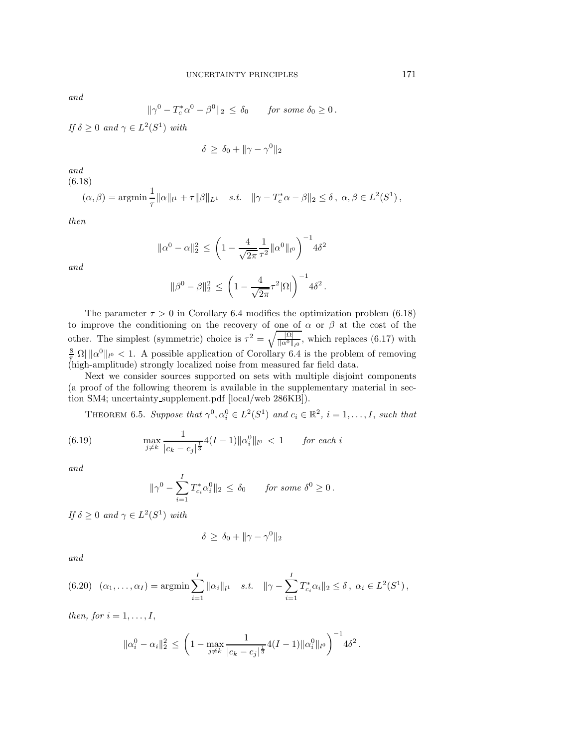*and*

$$
\|\gamma^0 - T_c^*\alpha^0 - \beta^0\|_2 \le \delta_0 \quad \text{for some } \delta_0 \ge 0.
$$

*If*  $\delta \geq 0$  *and*  $\gamma \in L^2(S^1)$  *with* 

$$
\delta \ge \delta_0 + \|\gamma - \gamma^0\|_2
$$

*and* (6.18)

<span id="page-17-0"></span> $(\alpha, \beta) = \operatorname{argmin} \frac{1}{\tau} \|\alpha\|_{l^{1}} + \tau \|\beta\|_{L^{1}} \quad s.t. \quad \|\gamma - T_{c}^{*}\alpha - \beta\|_{2} \leq \delta, \ \alpha, \beta \in L^{2}(S^{1}),$ 

*then*

*and*

$$
\|\alpha^0 - \alpha\|_2^2 \le \left(1 - \frac{4}{\sqrt{2\pi}} \frac{1}{\tau^2} \|\alpha^0\|_{l^0}\right)^{-1} 4\delta^2
$$
  

$$
\|\beta^0 - \beta\|_2^2 \le \left(1 - \frac{4}{\sqrt{2\pi}} \tau^2 |\Omega|\right)^{-1} 4\delta^2.
$$

The parameter  $\tau > 0$  in Corollary [6.4](#page-16-3) modifies the optimization problem [\(6.18\)](#page-17-0) to improve the conditioning on the recovery of one of  $\alpha$  or  $\beta$  at the cost of the other. The simplest (symmetric) choice is  $\tau^2 = \sqrt{\frac{|\Omega|}{\|\alpha^0\|_{l^0}}},$  which replaces [\(6.17\)](#page-16-4) with  $\frac{8}{\pi}|\Omega| \|\alpha^0\|_{l^0} < 1$ . A possible application of Corollary [6.4](#page-16-3) is the problem of removing (high-amplitude) strongly localized noise from measured far field data.

Next we consider sources supported on sets with multiple disjoint components (a proof of the following theorem is available in the supplementary material in section SM4; uncertainty supplement.pdf [\[local](#page-0-1)[/web](http://epubs.siam.org/doi/suppl/10.1137/16M1086157/suppl_file/uncertainty_supplement.pdf) 286KB]).

<span id="page-17-1"></span>THEOREM 6.5. *Suppose that*  $\gamma^0, \alpha_i^0 \in L^2(S^1)$  *and*  $c_i \in \mathbb{R}^2$ ,  $i = 1, ..., I$ , *such that* 

(6.19) 
$$
\max_{j \neq k} \frac{1}{|c_k - c_j|^{\frac{1}{3}}} 4(I-1) ||\alpha_i^0||_{l^0} < 1 \quad \text{for each } i
$$

*and*

<span id="page-17-2"></span>
$$
\|\gamma^0 - \sum_{i=1}^I T_{c_i}^* \alpha_i^0\|_2 \le \delta_0 \quad \text{for some } \delta^0 \ge 0.
$$

*If*  $\delta > 0$  *and*  $\gamma \in L^2(S^1)$  *with* 

$$
\delta \ge \delta_0 + \|\gamma - \gamma^0\|_2
$$

*and*

<span id="page-17-3"></span>
$$
(6.20) \quad (\alpha_1, \ldots, \alpha_I) = \operatorname{argmin} \sum_{i=1}^I \|\alpha_i\|_{l^1} \quad s.t. \quad \|\gamma - \sum_{i=1}^I T_{c_i}^* \alpha_i\|_2 \le \delta \,, \ \alpha_i \in L^2(S^1) \,,
$$

*then, for*  $i = 1, \ldots, I$ ,

$$
\|\alpha_i^0 - \alpha_i\|_2^2 \le \left(1 - \max_{j \neq k} \frac{1}{|c_k - c_j|^{\frac{1}{3}}} 4(I-1) \|\alpha_i^0\|_{l^0}\right)^{-1} 4\delta^2.
$$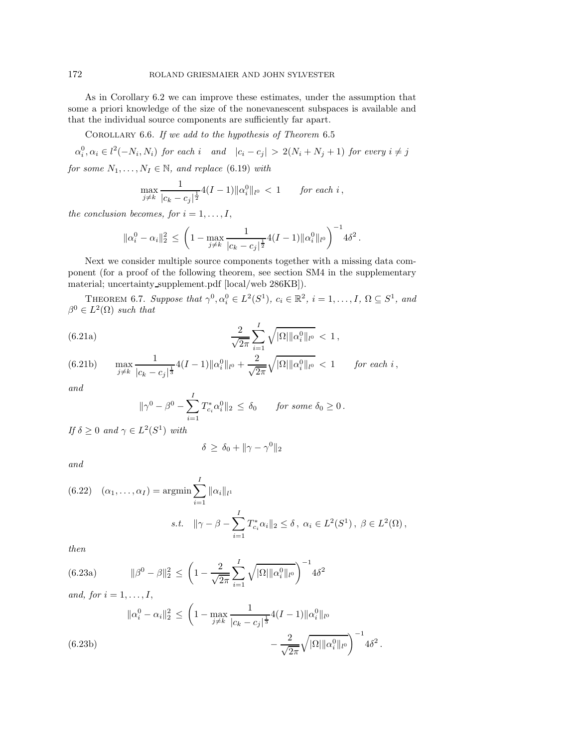As in Corollary [6.2](#page-15-2) we can improve these estimates, under the assumption that some a priori knowledge of the size of the nonevanescent subspaces is available and that the individual source components are sufficiently far apart.

Corollary 6.6. *If we add to the hypothesis of Theorem* [6.5](#page-17-1)

 $\alpha_i^0, \alpha_i \in l^2(-N_i, N_i)$  for each i and  $|c_i - c_j| > 2(N_i + N_j + 1)$  for every  $i \neq j$ *for some*  $N_1, \ldots, N_I \in \mathbb{N}$ *, and replace* [\(6.19\)](#page-17-2) *with* 

$$
\max_{j \neq k} \frac{1}{|c_k - c_j|^{\frac{1}{2}}} 4(I-1) \|\alpha_i^0\|_{l^0} < 1 \quad \text{for each } i \,,
$$

*the conclusion becomes, for*  $i = 1, \ldots, I$ ,

$$
\|\alpha_i^0 - \alpha_i\|_2^2 \le \left(1 - \max_{j \neq k} \frac{1}{|c_k - c_j|^{\frac{1}{2}}} 4(I - 1) \|\alpha_i^0\|_{l^0}\right)^{-1} 4\delta^2.
$$

Next we consider multiple source components together with a missing data component (for a proof of the following theorem, see section SM4 in the supplementary material; uncertainty supplement.pdf [\[local](#page-0-1)[/web](http://epubs.siam.org/doi/suppl/10.1137/16M1086157/suppl_file/uncertainty_supplement.pdf) 286KB]).

<span id="page-18-0"></span>THEOREM 6.7. *Suppose that*  $\gamma^0, \alpha_i^0 \in L^2(S^1), c_i \in \mathbb{R}^2, i = 1, \ldots, I, \Omega \subseteq S^1$ , and  $\beta^0 \in L^2(\Omega)$  *such that* 

(6.21a) 
$$
\frac{2}{\sqrt{2\pi}} \sum_{i=1}^{I} \sqrt{|\Omega| \|\alpha_i^0\|_{l^0}} < 1,
$$

<span id="page-18-1"></span>(6.21b) 
$$
\max_{j \neq k} \frac{1}{|c_k - c_j|^{\frac{1}{3}}} 4(I-1) ||\alpha_i^0||_{l^0} + \frac{2}{\sqrt{2\pi}} \sqrt{|\Omega| ||\alpha_i^0||_{l^0}} < 1 \quad \text{for each } i,
$$

*and*

$$
\|\gamma^0 - \beta^0 - \sum_{i=1}^I T_{c_i}^* \alpha_i^0\|_2 \le \delta_0 \quad \text{for some } \delta_0 \ge 0.
$$

*If*  $\delta \geq 0$  *and*  $\gamma \in L^2(S^1)$  *with* 

$$
\delta \ge \delta_0 + \|\gamma - \gamma^0\|_2
$$

*and*

<span id="page-18-3"></span>(6.22) 
$$
(\alpha_1, ..., \alpha_I) = \underset{i=1}{\text{argmin}} \sum_{i=1}^I \|\alpha_i\|_{l^1}
$$
  
s.t.  $\|\gamma - \beta - \sum_{i=1}^I T_{c_i}^* \alpha_i\|_2 \le \delta, \ \alpha_i \in L^2(S^1), \ \beta \in L^2(\Omega),$ 

*then*

(6.23a) 
$$
\|\beta^{0} - \beta\|_{2}^{2} \le \left(1 - \frac{2}{\sqrt{2\pi}} \sum_{i=1}^{I} \sqrt{|\Omega| \|\alpha_{i}^{0}\|_{l^{0}}}\right)^{-1} 4\delta^{2}
$$

*and, for*  $i = 1, \ldots, I$ ,

<span id="page-18-2"></span>
$$
\|\alpha_i^0 - \alpha_i\|_2^2 \le \left(1 - \max_{j \neq k} \frac{1}{|c_k - c_j|^{\frac{1}{3}}} 4(I - 1) \|\alpha_i^0\|_{l^0} - \frac{2}{\sqrt{2\pi}} \sqrt{|\Omega| \|\alpha_i^0\|_{l^0}} \right)^{-1} 4\delta^2.
$$
\n(6.23b)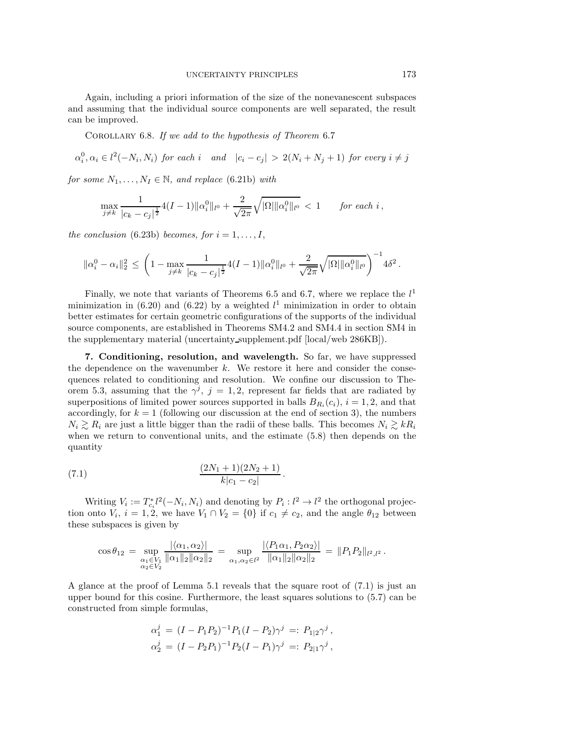Again, including a priori information of the size of the nonevanescent subspaces and assuming that the individual source components are well separated, the result can be improved.

Corollary 6.8. *If we add to the hypothesis of Theorem* [6.7](#page-18-0)

$$
\alpha_i^0, \alpha_i \in l^2(-N_i, N_i) \text{ for each } i \quad \text{and} \quad |c_i - c_j| > 2(N_i + N_j + 1) \text{ for every } i \neq j
$$

*for some*  $N_1, \ldots, N_I \in \mathbb{N}$ *, and replace* [\(6.21b\)](#page-18-1) *with* 

$$
\max_{j \neq k} \frac{1}{|c_k - c_j|^{\frac{1}{2}}} 4(I-1) \| \alpha_i^0 \|_{l^0} + \frac{2}{\sqrt{2\pi}} \sqrt{|\Omega| \| \alpha_i^0 \|_{l^0}} < 1 \quad \text{for each } i,
$$

*the conclusion* [\(6.23b\)](#page-18-2) *becomes, for*  $i = 1, \ldots, I$ ,

$$
\|\alpha_i^0 - \alpha_i\|_2^2 \le \left(1 - \max_{j \neq k} \frac{1}{|c_k - c_j|^{\frac{1}{2}}} 4(I-1) \|\alpha_i^0\|_{l^0} + \frac{2}{\sqrt{2\pi}} \sqrt{|\Omega| \|\alpha_i^0\|_{l^0}} \right)^{-1} 4\delta^2.
$$

Finally, we note that variants of Theorems [6.5](#page-17-1) and [6.7,](#page-18-0) where we replace the  $l<sup>1</sup>$ minimization in [\(6.20\)](#page-17-3) and [\(6.22\)](#page-18-3) by a weighted  $l<sup>1</sup>$  minimization in order to obtain better estimates for certain geometric configurations of the supports of the individual source components, are established in Theorems SM4.2 and SM4.4 in section SM4 in the supplementary material (uncertainty supplement.pdf [\[local/](#page-0-1)[web](http://epubs.siam.org/doi/suppl/10.1137/16M1086157/suppl_file/uncertainty_supplement.pdf) 286KB]).

<span id="page-19-0"></span>**7. Conditioning, resolution, and wavelength.** So far, we have suppressed the dependence on the wavenumber  $k$ . We restore it here and consider the consequences related to conditioning and resolution. We confine our discussion to The-orem [5.3,](#page-10-2) assuming that the  $\gamma^j$ ,  $j = 1, 2$ , represent far fields that are radiated by superpositions of limited power sources supported in balls  $B_{R_i}(c_i)$ ,  $i = 1, 2$ , and that accordingly, for  $k = 1$  (following our discussion at the end of section [3\)](#page-3-0), the numbers  $N_i \gtrsim R_i$  are just a little bigger than the radii of these balls. This becomes  $N_i \gtrsim kR_i$ when we return to conventional units, and the estimate [\(5.8\)](#page-10-1) then depends on the quantity

(7.1) 
$$
\frac{(2N_1+1)(2N_2+1)}{k|c_1-c_2|}.
$$

Writing  $V_i := T_{c_i}^* l^2(-N_i, N_i)$  and denoting by  $P_i : l^2 \to l^2$  the orthogonal projection onto  $V_i$ ,  $i = 1, 2$ , we have  $V_1 \cap V_2 = \{0\}$  if  $c_1 \neq c_2$ , and the angle  $\theta_{12}$  between these subspaces is given by

<span id="page-19-1"></span>
$$
\cos \theta_{12} = \sup_{\substack{\alpha_1 \in V_1 \\ \alpha_2 \in V_2}} \frac{|\langle \alpha_1, \alpha_2 \rangle|}{\|\alpha_1\|_2 \|\alpha_2\|_2} = \sup_{\alpha_1, \alpha_2 \in l^2} \frac{|\langle P_1 \alpha_1, P_2 \alpha_2 \rangle|}{\|\alpha_1\|_2 \|\alpha_2\|_2} = \|P_1 P_2\|_{l^2, l^2}.
$$

A glance at the proof of Lemma [5.1](#page-9-5) reveals that the square root of [\(7.1\)](#page-19-1) is just an upper bound for this cosine. Furthermore, the least squares solutions to [\(5.7\)](#page-10-0) can be constructed from simple formulas,

$$
\alpha_1^j = (I - P_1 P_2)^{-1} P_1 (I - P_2) \gamma^j =: P_{1|2} \gamma^j ,
$$
  
\n
$$
\alpha_2^j = (I - P_2 P_1)^{-1} P_2 (I - P_1) \gamma^j =: P_{2|1} \gamma^j ,
$$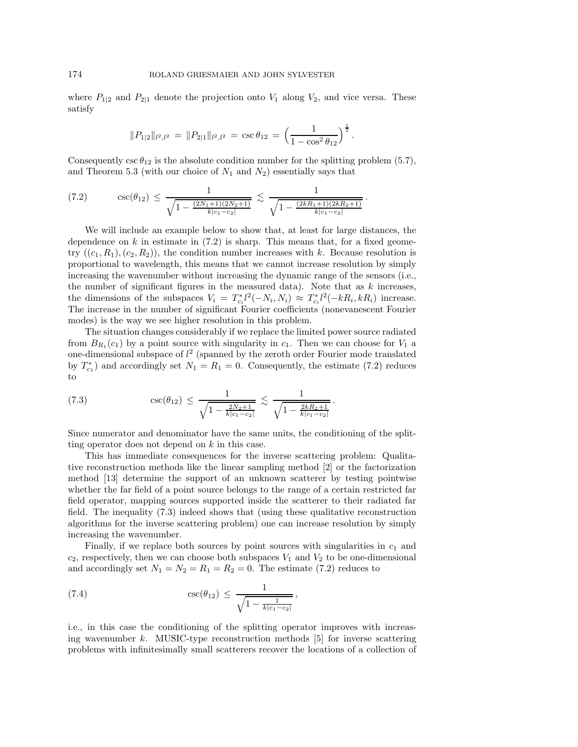where  $P_{1|2}$  and  $P_{2|1}$  denote the projection onto  $V_1$  along  $V_2$ , and vice versa. These satisfy

$$
||P_{1|2}||_{l^2,l^2} = ||P_{2|1}||_{l^2,l^2} = \csc \theta_{12} = \left(\frac{1}{1-\cos^2 \theta_{12}}\right)^{\frac{1}{2}}.
$$

Consequently  $\csc \theta_{12}$  is the absolute condition number for the splitting problem [\(5.7\)](#page-10-0), and Theorem [5.3](#page-10-2) (with our choice of  $N_1$  and  $N_2$ ) essentially says that

<span id="page-20-0"></span>
$$
(7.2) \quad \csc(\theta_{12}) \leq \frac{1}{\sqrt{1 - \frac{(2N_1 + 1)(2N_2 + 1)}{k|c_1 - c_2|}}} \lesssim \frac{1}{\sqrt{1 - \frac{(2kR_1 + 1)(2kR_2 + 1)}{k|c_1 - c_2|}}}.
$$

We will include an example below to show that, at least for large distances, the dependence on k in estimate in  $(7.2)$  is sharp. This means that, for a fixed geometry  $((c_1, R_1), (c_2, R_2))$ , the condition number increases with k. Because resolution is proportional to wavelength, this means that we cannot increase resolution by simply increasing the wavenumber without increasing the dynamic range of the sensors (i.e., the number of significant figures in the measured data). Note that as  $k$  increases, the dimensions of the subspaces  $V_i = T_{c_i}^* l^2(-N_i, N_i) \approx T_{c_i}^* l^2(-kR_i, kR_i)$  increase. The increase in the number of significant Fourier coefficients (nonevanescent Fourier modes) is the way we see higher resolution in this problem.

The situation changes considerably if we replace the limited power source radiated from  $B_{R_1}(c_1)$  by a point source with singularity in  $c_1$ . Then we can choose for  $V_1$  a one-dimensional subspace of  $l^2$  (spanned by the zeroth order Fourier mode translated by  $T_{c_1}^*$  and accordingly set  $N_1 = R_1 = 0$ . Consequently, the estimate [\(7.2\)](#page-20-0) reduces to

<span id="page-20-1"></span>(7.3) 
$$
\csc(\theta_{12}) \le \frac{1}{\sqrt{1 - \frac{2N_2 + 1}{k|c_1 - c_2|}}} \lesssim \frac{1}{\sqrt{1 - \frac{2kR_2 + 1}{k|c_1 - c_2|}}}
$$

Since numerator and denominator have the same units, the conditioning of the splitting operator does not depend on  $k$  in this case.

.

This has immediate consequences for the inverse scattering problem: Qualitative reconstruction methods like the linear sampling method [\[2\]](#page-26-13) or the factorization method [\[13\]](#page-26-14) determine the support of an unknown scatterer by testing pointwise whether the far field of a point source belongs to the range of a certain restricted far field operator, mapping sources supported inside the scatterer to their radiated far field. The inequality [\(7.3\)](#page-20-1) indeed shows that (using these qualitative reconstruction algorithms for the inverse scattering problem) one can increase resolution by simply increasing the wavenumber.

Finally, if we replace both sources by point sources with singularities in  $c_1$  and  $c_2$ , respectively, then we can choose both subspaces  $V_1$  and  $V_2$  to be one-dimensional and accordingly set  $N_1 = N_2 = R_1 = R_2 = 0$ . The estimate [\(7.2\)](#page-20-0) reduces to

<span id="page-20-2"></span>(7.4) 
$$
\csc(\theta_{12}) \leq \frac{1}{\sqrt{1 - \frac{1}{k|c_1 - c_2|}}},
$$

i.e., in this case the conditioning of the splitting operator improves with increasing wavenumber  $k$ . MUSIC-type reconstruction methods  $[5]$  for inverse scattering problems with infinitesimally small scatterers recover the locations of a collection of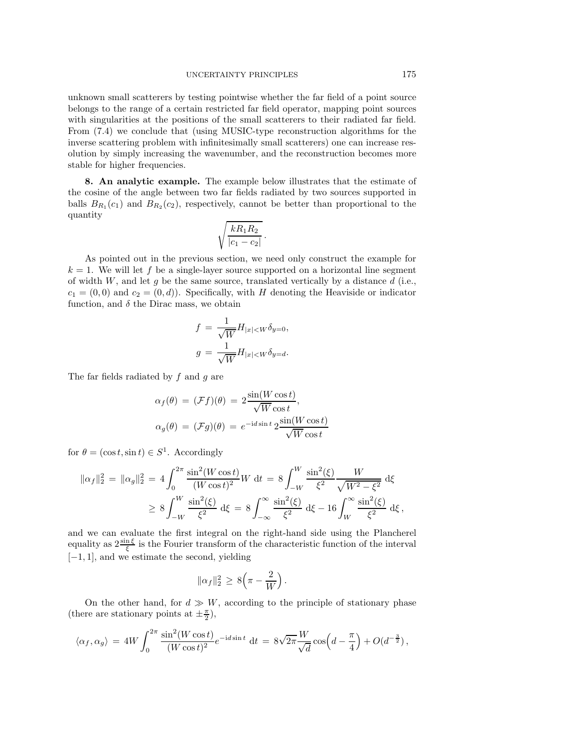unknown small scatterers by testing pointwise whether the far field of a point source belongs to the range of a certain restricted far field operator, mapping point sources with singularities at the positions of the small scatterers to their radiated far field. From [\(7.4\)](#page-20-2) we conclude that (using MUSIC-type reconstruction algorithms for the inverse scattering problem with infinitesimally small scatterers) one can increase resolution by simply increasing the wavenumber, and the reconstruction becomes more stable for higher frequencies.

<span id="page-21-0"></span>**8. An analytic example.** The example below illustrates that the estimate of the cosine of the angle between two far fields radiated by two sources supported in balls  $B_{R_1}(c_1)$  and  $B_{R_2}(c_2)$ , respectively, cannot be better than proportional to the quantity

$$
\sqrt{\frac{kR_1R_2}{|c_1-c_2|}}.
$$

As pointed out in the previous section, we need only construct the example for  $k = 1$ . We will let f be a single-layer source supported on a horizontal line segment of width  $W$ , and let g be the same source, translated vertically by a distance  $d$  (i.e.,  $c_1 = (0,0)$  and  $c_2 = (0,d)$ ). Specifically, with H denoting the Heaviside or indicator function, and  $\delta$  the Dirac mass, we obtain

$$
f = \frac{1}{\sqrt{W}} H_{|x| \le W} \delta_{y=0},
$$
  

$$
g = \frac{1}{\sqrt{W}} H_{|x| \le W} \delta_{y=d}.
$$

The far fields radiated by  $f$  and  $g$  are

$$
\alpha_f(\theta) = (\mathcal{F}f)(\theta) = 2 \frac{\sin(W \cos t)}{\sqrt{W} \cos t},
$$
  

$$
\alpha_g(\theta) = (\mathcal{F}g)(\theta) = e^{-id \sin t} 2 \frac{\sin(W \cos t)}{\sqrt{W} \cos t}
$$

for  $\theta = (\cos t, \sin t) \in S^1$ . Accordingly

$$
\|\alpha_f\|_2^2 = \|\alpha_g\|_2^2 = 4 \int_0^{2\pi} \frac{\sin^2(W \cos t)}{(W \cos t)^2} W dt = 8 \int_{-W}^W \frac{\sin^2(\xi)}{\xi^2} \frac{W}{\sqrt{W^2 - \xi^2}} d\xi
$$
  

$$
\geq 8 \int_{-W}^W \frac{\sin^2(\xi)}{\xi^2} d\xi = 8 \int_{-\infty}^{\infty} \frac{\sin^2(\xi)}{\xi^2} d\xi - 16 \int_W^{\infty} \frac{\sin^2(\xi)}{\xi^2} d\xi,
$$

and we can evaluate the first integral on the right-hand side using the Plancherel equality as  $2\frac{\sin\xi}{\xi}$  is the Fourier transform of the characteristic function of the interval [−1, 1], and we estimate the second, yielding

$$
\|\alpha_f\|_2^2 \ge 8(\pi - \frac{2}{W}).
$$

On the other hand, for  $d \gg W$ , according to the principle of stationary phase (there are stationary points at  $\pm \frac{\pi}{2}$ ),

$$
\langle \alpha_f, \alpha_g \rangle = 4W \int_0^{2\pi} \frac{\sin^2(W \cos t)}{(W \cos t)^2} e^{-id \sin t} dt = 8\sqrt{2\pi} \frac{W}{\sqrt{d}} \cos \left( d - \frac{\pi}{4} \right) + O(d^{-\frac{3}{2}}),
$$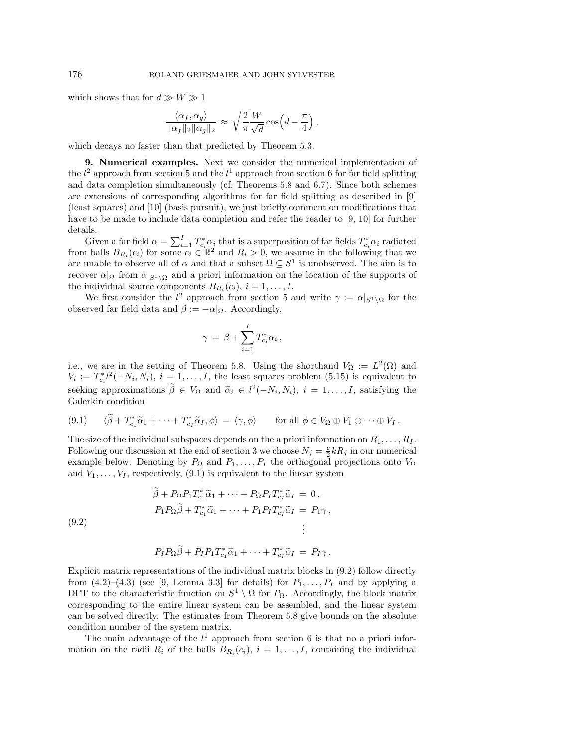which shows that for  $d \gg W \gg 1$ 

$$
\frac{\langle \alpha_f, \alpha_g \rangle}{\|\alpha_f\|_2 \|\alpha_g\|_2} \approx \sqrt{\frac{2}{\pi}} \frac{W}{\sqrt{d}} \cos\left(d - \frac{\pi}{4}\right),
$$

<span id="page-22-0"></span>which decays no faster than that predicted by Theorem [5.3.](#page-10-2)

**9. Numerical examples.** Next we consider the numerical implementation of the  $l^2$  approach from section [5](#page-9-0) and the  $l^1$  approach from section [6](#page-13-0) for far field splitting and data completion simultaneously (cf. Theorems [5.8](#page-13-1) and [6.7\)](#page-18-0). Since both schemes are extensions of corresponding algorithms for far field splitting as described in [\[9\]](#page-26-2) (least squares) and [\[10\]](#page-26-3) (basis pursuit), we just briefly comment on modifications that have to be made to include data completion and refer the reader to [\[9,](#page-26-2) [10\]](#page-26-3) for further details.

Given a far field  $\alpha = \sum_{i=1}^{I} T_{c_i}^* \alpha_i$  that is a superposition of far fields  $T_{c_i}^* \alpha_i$  radiated from balls  $B_{R_i}(c_i)$  for some  $c_i \in \mathbb{R}^2$  and  $R_i > 0$ , we assume in the following that we are unable to observe all of  $\alpha$  and that a subset  $\Omega \subseteq S^1$  is unobserved. The aim is to recover  $\alpha|_{\Omega}$  from  $\alpha|_{S^1\setminus\Omega}$  and a priori information on the location of the supports of the individual source components  $B_{R_i}(c_i)$ ,  $i = 1, \ldots, I$ .

We first consider the  $l^2$  approach from section [5](#page-9-0) and write  $\gamma := \alpha|_{S^1 \setminus \Omega}$  for the observed far field data and  $\beta := -\alpha|_{\Omega}$ . Accordingly,

$$
\gamma = \beta + \sum_{i=1}^{I} T_{c_i}^* \alpha_i ,
$$

i.e., we are in the setting of Theorem [5.8.](#page-13-1) Using the shorthand  $V_{\Omega} := L^2(\Omega)$  and  $V_i := T_{c_i}^* l^2(-N_i, N_i), i = 1, \ldots, I$ , the least squares problem [\(5.15\)](#page-13-2) is equivalent to seeking approximations  $\hat{\beta} \in V_{\Omega}$  and  $\tilde{\alpha}_i \in l^2(-N_i, N_i)$ ,  $i = 1, ..., I$ , satisfying the Galerkin condition Galerkin condition

<span id="page-22-1"></span>
$$
(9.1) \qquad \langle \widetilde{\beta} + T_{c_1}^* \widetilde{\alpha}_1 + \cdots + T_{c_I}^* \widetilde{\alpha}_I, \phi \rangle = \langle \gamma, \phi \rangle \qquad \text{for all } \phi \in V_{\Omega} \oplus V_1 \oplus \cdots \oplus V_I \, .
$$

The size of the individual subspaces depends on the a priori information on  $R_1, \ldots, R_I$ . Following our discussion at the end of section [3](#page-3-0) we choose  $N_j = \frac{e}{2}kR_j$  in our numerical example below. Denoting by  $P_{\Omega}$  and  $P_1, \ldots, P_I$  the orthogonal projections onto  $V_{\Omega}$ and  $V_1, \ldots, V_I$ , respectively, [\(9.1\)](#page-22-1) is equivalent to the linear system

$$
\widetilde{\beta} + P_{\Omega} P_1 T_{c_1}^* \widetilde{\alpha}_1 + \dots + P_{\Omega} P_I T_{c_I}^* \widetilde{\alpha}_I = 0,
$$
  
\n
$$
P_1 P_{\Omega} \widetilde{\beta} + T_{c_1}^* \widetilde{\alpha}_1 + \dots + P_1 P_I T_{c_I}^* \widetilde{\alpha}_I = P_1 \gamma,
$$
  
\n
$$
\vdots
$$

<span id="page-22-2"></span>(9.2)

$$
P_I P_{\Omega} \widetilde{\beta} + P_I P_1 T_{c_1}^* \widetilde{\alpha}_1 + \cdots + T_{c_I}^* \widetilde{\alpha}_I = P_I \gamma.
$$

Explicit matrix representations of the individual matrix blocks in [\(9.2\)](#page-22-2) follow directly from  $(4.2)$ – $(4.3)$  (see [\[9,](#page-26-2) Lemma 3.3] for details) for  $P_1, \ldots, P_l$  and by applying a DFT to the characteristic function on  $S^1 \setminus \Omega$  for  $P_{\Omega}$ . Accordingly, the block matrix corresponding to the entire linear system can be assembled, and the linear system can be solved directly. The estimates from Theorem [5.8](#page-13-1) give bounds on the absolute condition number of the system matrix.

The main advantage of the  $l^1$  approach from section [6](#page-13-0) is that no a priori information on the radii  $R_i$  of the balls  $B_{R_i}(c_i)$ ,  $i = 1, \ldots, I$ , containing the individual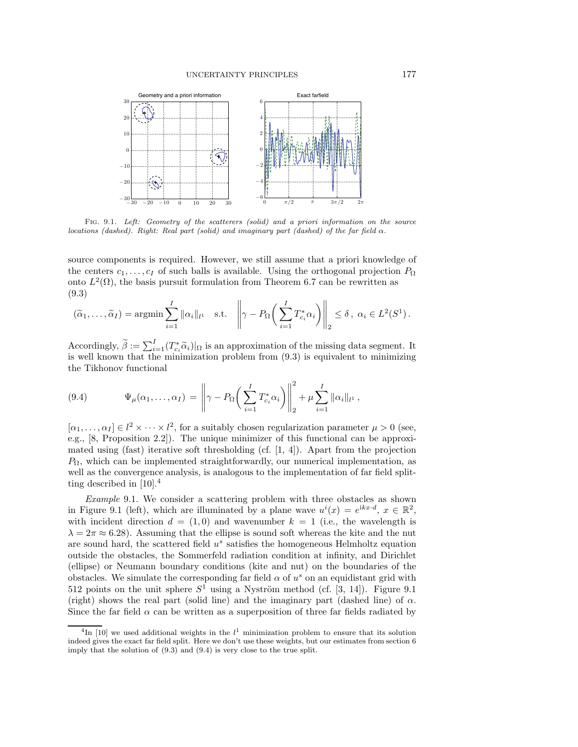<span id="page-23-2"></span>

Fig. 9.1. Left: Geometry of the scatterers (solid) and a priori information on the source locations (dashed). Right: Real part (solid) and imaginary part (dashed) of the far field  $\alpha$ .

source components is required. However, we still assume that a priori knowledge of the centers  $c_1, \ldots, c_l$  of such balls is available. Using the orthogonal projection  $P_{\Omega}$ onto  $L^2(\Omega)$ , the basis pursuit formulation from Theorem [6.7](#page-18-0) can be rewritten as (9.3)

<span id="page-23-0"></span>
$$
(\widetilde{\alpha}_1,\ldots,\widetilde{\alpha}_I) = \operatorname{argmin} \sum_{i=1}^I \|\alpha_i\|_{l^1} \quad \text{s.t.} \quad \left\|\gamma - P_{\Omega}\left(\sum_{i=1}^I T_{c_i}^*\alpha_i\right)\right\|_2 \le \delta, \ \alpha_i \in L^2(S^1).
$$

Accordingly,  $\tilde{\beta} := \sum_{i=1}^{I} (T_{c_i}^* \tilde{\alpha}_i)|_{\Omega}$  is an approximation of the missing data segment. It<br>is well known that the minimization problem from (9.3) is equivalent to minimizing is well known that the minimization problem from [\(9.3\)](#page-23-0) is equivalent to minimizing the Tikhonov functional

<span id="page-23-3"></span>(9.4) 
$$
\Psi_{\mu}(\alpha_1, ..., \alpha_I) = \left\| \gamma - P_{\Omega} \left( \sum_{i=1}^I T_{c_i}^* \alpha_i \right) \right\|_2^2 + \mu \sum_{i=1}^I \|\alpha_i\|_{l^1},
$$

 $[\alpha_1,\ldots,\alpha_I] \in l^2 \times \cdots \times l^2$ , for a suitably chosen regularization parameter  $\mu > 0$  (see, e.g., [\[8,](#page-26-16) Proposition 2.2]). The unique minimizer of this functional can be approximated using (fast) iterative soft thresholding (cf.  $[1, 4]$  $[1, 4]$ ). Apart from the projection  $P_{\Omega}$ , which can be implemented straightforwardly, our numerical implementation, as well as the convergence analysis, is analogous to the implementation of far field splitting described in  $[10]$ <sup>[4](#page-23-1)</sup>

*Example* 9.1. We consider a scattering problem with three obstacles as shown in Figure [9.1](#page-23-2) (left), which are illuminated by a plane wave  $u^{i}(x) = e^{ikx \cdot d}$ ,  $x \in \mathbb{R}^{2}$ , with incident direction  $d = (1, 0)$  and wavenumber  $k = 1$  (i.e., the wavelength is  $\lambda = 2\pi \approx 6.28$ . Assuming that the ellipse is sound soft whereas the kite and the nut are sound hard, the scattered field  $u<sup>s</sup>$  satisfies the homogeneous Helmholtz equation outside the obstacles, the Sommerfeld radiation condition at infinity, and Dirichlet (ellipse) or Neumann boundary conditions (kite and nut) on the boundaries of the obstacles. We simulate the corresponding far field  $\alpha$  of  $u^s$  on an equidistant grid with 512 points on the unit sphere  $S^1$  using a Nyström method (cf. [\[3,](#page-26-19) [14\]](#page-26-20)). Figure [9.1](#page-23-2) (right) shows the real part (solid line) and the imaginary part (dashed line) of  $\alpha$ . Since the far field  $\alpha$  can be written as a superposition of three far fields radiated by

<span id="page-23-1"></span><sup>&</sup>lt;sup>4</sup>In [\[10\]](#page-26-3) we used additional weights in the  $l<sup>1</sup>$  minimization problem to ensure that its solution indeed gives the exact far field split. Here we don't use these weights, but our estimates from section [6](#page-13-0) imply that the solution of [\(9.3\)](#page-23-0) and [\(9.4\)](#page-23-3) is very close to the true split.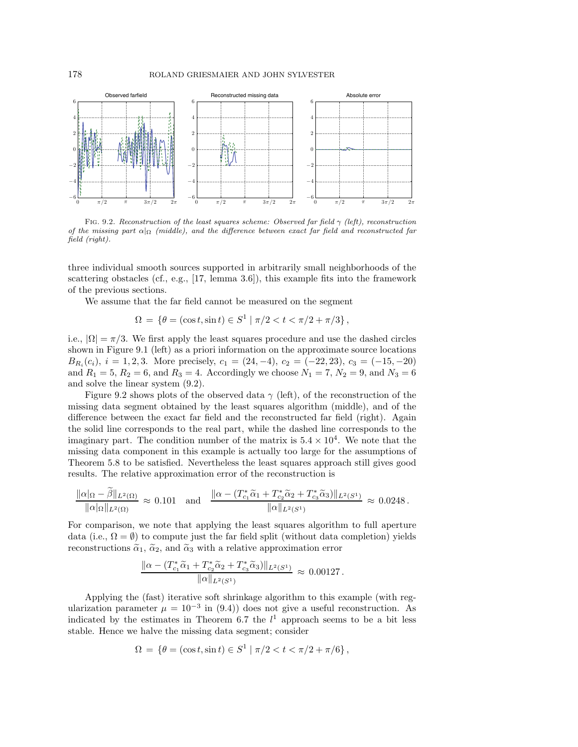<span id="page-24-0"></span>

FIG. 9.2. Reconstruction of the least squares scheme: Observed far field  $\gamma$  (left), reconstruction of the missing part  $\alpha|_{\Omega}$  (middle), and the difference between exact far field and reconstructed far field (right).

three individual smooth sources supported in arbitrarily small neighborhoods of the scattering obstacles (cf., e.g.,  $[17, \text{ lemma } 3.6]$  $[17, \text{ lemma } 3.6]$ ), this example fits into the framework of the previous sections.

We assume that the far field cannot be measured on the segment

$$
\Omega = \{ \theta = (\cos t, \sin t) \in S^1 \mid \pi/2 < t < \pi/2 + \pi/3 \},
$$

i.e.,  $|\Omega| = \pi/3$ . We first apply the least squares procedure and use the dashed circles shown in Figure [9.1](#page-23-2) (left) as a priori information on the approximate source locations  $B_{R_i}(c_i)$ ,  $i = 1, 2, 3$ . More precisely,  $c_1 = (24, -4)$ ,  $c_2 = (-22, 23)$ ,  $c_3 = (-15, -20)$ and  $R_1 = 5, R_2 = 6$ , and  $R_3 = 4$ . Accordingly we choose  $N_1 = 7, N_2 = 9$ , and  $N_3 = 6$ and solve the linear system [\(9.2\)](#page-22-2).

Figure [9.2](#page-24-0) shows plots of the observed data  $\gamma$  (left), of the reconstruction of the missing data segment obtained by the least squares algorithm (middle), and of the difference between the exact far field and the reconstructed far field (right). Again the solid line corresponds to the real part, while the dashed line corresponds to the imaginary part. The condition number of the matrix is  $5.4 \times 10^4$ . We note that the missing data component in this example is actually too large for the assumptions of Theorem [5.8](#page-13-1) to be satisfied. Nevertheless the least squares approach still gives good results. The relative approximation error of the reconstruction is

$$
\frac{\|\alpha\|_{\Omega} - \tilde{\beta}\|_{L^2(\Omega)}}{\|\alpha\|_{L^2(\Omega)}} \approx 0.101 \quad \text{and} \quad \frac{\|\alpha - (T_{c_1}^*\tilde{\alpha}_1 + T_{c_2}^*\tilde{\alpha}_2 + T_{c_3}^*\tilde{\alpha}_3)\|_{L^2(S^1)}}{\|\alpha\|_{L^2(S^1)}} \approx 0.0248.
$$

For comparison, we note that applying the least squares algorithm to full aperture data (i.e.,  $\Omega = \emptyset$ ) to compute just the far field split (without data completion) yields reconstructions  $\tilde{\alpha}_1$ ,  $\tilde{\alpha}_2$ , and  $\tilde{\alpha}_3$  with a relative approximation error

$$
\frac{\|\alpha - (T_{c_1}^*\tilde{\alpha}_1 + T_{c_2}^*\tilde{\alpha}_2 + T_{c_3}^*\tilde{\alpha}_3)\|_{L^2(S^1)}}{\|\alpha\|_{L^2(S^1)}} \approx 0.00127.
$$

Applying the (fast) iterative soft shrinkage algorithm to this example (with regularization parameter  $\mu = 10^{-3}$  in [\(9.4\)](#page-23-3)) does not give a useful reconstruction. As indicated by the estimates in Theorem [6.7](#page-18-0) the  $l<sup>1</sup>$  approach seems to be a bit less stable. Hence we halve the missing data segment; consider

$$
\Omega = \{ \theta = (\cos t, \sin t) \in S^1 \mid \pi/2 < t < \pi/2 + \pi/6 \},
$$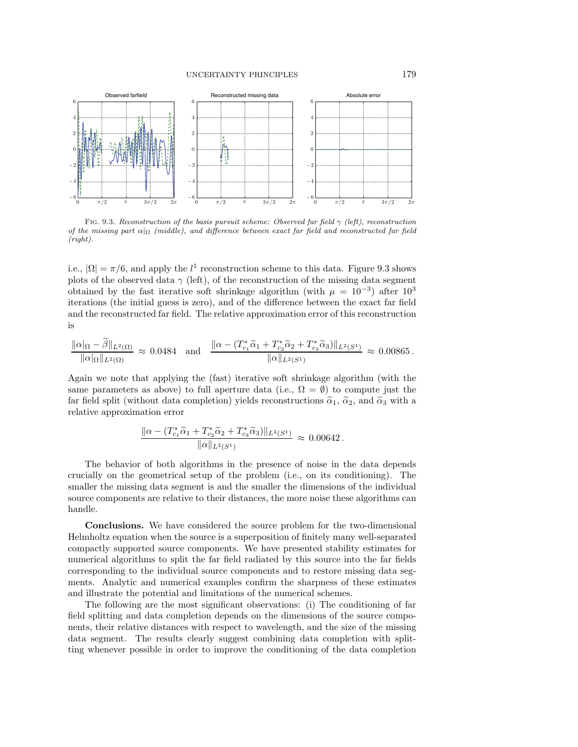<span id="page-25-0"></span>

FIG. 9.3. Reconstruction of the basis pursuit scheme: Observed far field  $\gamma$  (left), reconstruction of the missing part  $\alpha|_{\Omega}$  (middle), and difference between exact far field and reconstructed far field (right).

i.e.,  $|\Omega| = \pi/6$ , and apply the  $l^1$  reconstruction scheme to this data. Figure [9.3](#page-25-0) shows plots of the observed data  $\gamma$  (left), of the reconstruction of the missing data segment obtained by the fast iterative soft shrinkage algorithm (with  $\mu = 10^{-3}$ ) after 10<sup>3</sup> iterations (the initial guess is zero), and of the difference between the exact far field and the reconstructed far field. The relative approximation error of this reconstruction is

$$
\frac{\|\alpha\|_{\Omega} - \beta\|_{L^2(\Omega)}}{\|\alpha\|_{L^2(\Omega)}} \approx 0.0484 \quad \text{and} \quad \frac{\|\alpha - (T_{c_1}^*\tilde{\alpha}_1 + T_{c_2}^*\tilde{\alpha}_2 + T_{c_3}^*\tilde{\alpha}_3)\|_{L^2(S^1)}}{\|\alpha\|_{L^2(S^1)}} \approx 0.00865.
$$

Again we note that applying the (fast) iterative soft shrinkage algorithm (with the same parameters as above) to full aperture data (i.e.,  $\Omega = \emptyset$ ) to compute just the far field split (without data completion) yields reconstructions  $\tilde{\alpha}_1$ ,  $\tilde{\alpha}_2$ , and  $\tilde{\alpha}_3$  with a relative approximation error

$$
\frac{\|\alpha - (T_{c_1}^*\tilde{\alpha}_1 + T_{c_2}^*\tilde{\alpha}_2 + T_{c_3}^*\tilde{\alpha}_3)\|_{L^2(S^1)}}{\|\alpha\|_{L^2(S^1)}} \approx 0.00642.
$$

The behavior of both algorithms in the presence of noise in the data depends crucially on the geometrical setup of the problem (i.e., on its conditioning). The smaller the missing data segment is and the smaller the dimensions of the individual source components are relative to their distances, the more noise these algorithms can handle.

**Conclusions.** We have considered the source problem for the two-dimensional Helmholtz equation when the source is a superposition of finitely many well-separated compactly supported source components. We have presented stability estimates for numerical algorithms to split the far field radiated by this source into the far fields corresponding to the individual source components and to restore missing data segments. Analytic and numerical examples confirm the sharpness of these estimates and illustrate the potential and limitations of the numerical schemes.

The following are the most significant observations: (i) The conditioning of far field splitting and data completion depends on the dimensions of the source components, their relative distances with respect to wavelength, and the size of the missing data segment. The results clearly suggest combining data completion with splitting whenever possible in order to improve the conditioning of the data completion